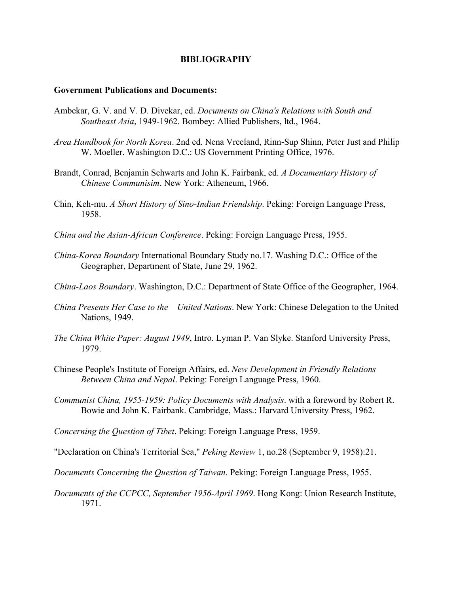# **Government Publications and Documents:**

- Ambekar, G. V. and V. D. Divekar, ed. *Documents on China's Relations with South and Southeast Asia*, 1949-1962. Bombey: Allied Publishers, ltd., 1964.
- *Area Handbook for North Korea*. 2nd ed. Nena Vreeland, Rinn-Sup Shinn, Peter Just and Philip W. Moeller. Washington D.C.: US Government Printing Office, 1976.
- Brandt, Conrad, Benjamin Schwarts and John K. Fairbank, ed. *A Documentary History of Chinese Communisim*. New York: Atheneum, 1966.
- Chin, Keh-mu. *A Short History of Sino-Indian Friendship*. Peking: Foreign Language Press, 1958.
- *China and the Asian-African Conference*. Peking: Foreign Language Press, 1955.
- *China-Korea Boundary* International Boundary Study no.17. Washing D.C.: Office of the Geographer, Department of State, June 29, 1962.
- *China-Laos Boundary*. Washington, D.C.: Department of State Office of the Geographer, 1964.
- *China Presents Her Case to the United Nations*. New York: Chinese Delegation to the United Nations, 1949.
- *The China White Paper: August 1949*, Intro. Lyman P. Van Slyke. Stanford University Press, 1979.
- Chinese People's Institute of Foreign Affairs, ed. *New Development in Friendly Relations Between China and Nepal*. Peking: Foreign Language Press, 1960.
- *Communist China, 1955-1959: Policy Documents with Analysis*. with a foreword by Robert R. Bowie and John K. Fairbank. Cambridge, Mass.: Harvard University Press, 1962.

*Concerning the Question of Tibet*. Peking: Foreign Language Press, 1959.

"Declaration on China's Territorial Sea," *Peking Review* 1, no.28 (September 9, 1958):21.

*Documents Concerning the Question of Taiwan*. Peking: Foreign Language Press, 1955.

*Documents of the CCPCC, September 1956-April 1969*. Hong Kong: Union Research Institute, 1971.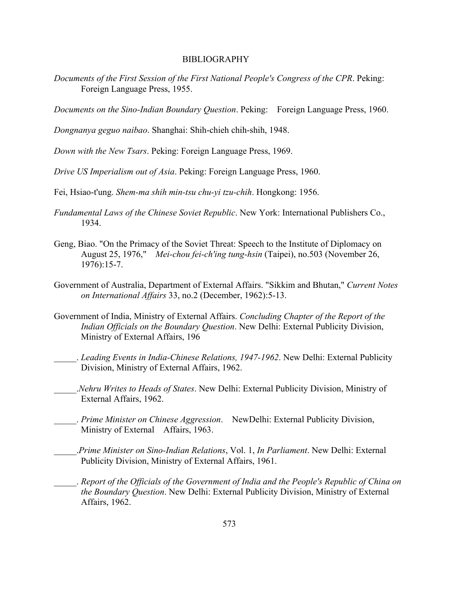- *Documents of the First Session of the First National People's Congress of the CPR*. Peking: Foreign Language Press, 1955.
- *Documents on the Sino-Indian Boundary Question*. Peking: Foreign Language Press, 1960.

*Dongnanya geguo naibao*. Shanghai: Shih-chieh chih-shih, 1948.

*Down with the New Tsars*. Peking: Foreign Language Press, 1969.

*Drive US Imperialism out of Asia*. Peking: Foreign Language Press, 1960.

Fei, Hsiao-t'ung. *Shem-ma shih min-tsu chu-yi tzu-chih*. Hongkong: 1956.

- *Fundamental Laws of the Chinese Soviet Republic*. New York: International Publishers Co., 1934.
- Geng, Biao. "On the Primacy of the Soviet Threat: Speech to the Institute of Diplomacy on August 25, 1976," *Mei-chou fei-ch'ing tung-hsin* (Taipei), no.503 (November 26, 1976):15-7.
- Government of Australia, Department of External Affairs. "Sikkim and Bhutan," *Current Notes on International Affairs* 33, no.2 (December, 1962):5-13.
- Government of India, Ministry of External Affairs. *Concluding Chapter of the Report of the Indian Officials on the Boundary Question*. New Delhi: External Publicity Division, Ministry of External Affairs, 196
- \_\_\_\_\_. *Leading Events in India-Chinese Relations, 1947-1962*. New Delhi: External Publicity Division, Ministry of External Affairs, 1962.
	- \_\_\_\_\_.*Nehru Writes to Heads of States*. New Delhi: External Publicity Division, Ministry of External Affairs, 1962.
- \_\_\_\_\_. *Prime Minister on Chinese Aggression*. NewDelhi: External Publicity Division, Ministry of External Affairs, 1963.
- \_\_\_\_\_.*Prime Minister on Sino-Indian Relations*, Vol. 1, *In Parliament*. New Delhi: External Publicity Division, Ministry of External Affairs, 1961.
- \_\_\_\_\_. *Report of the Officials of the Government of India and the People's Republic of China on the Boundary Question*. New Delhi: External Publicity Division, Ministry of External Affairs, 1962.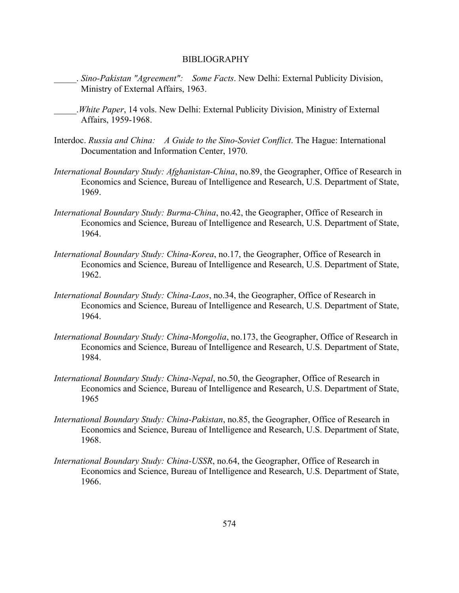- \_\_\_\_\_. *Sino-Pakistan "Agreement": Some Facts*. New Delhi: External Publicity Division, Ministry of External Affairs, 1963.
- \_\_\_\_\_.*White Paper*, 14 vols. New Delhi: External Publicity Division, Ministry of External Affairs, 1959-1968.
- Interdoc. *Russia and China: A Guide to the Sino-Soviet Conflict*. The Hague: International Documentation and Information Center, 1970.
- *International Boundary Study: Afghanistan-China*, no.89, the Geographer, Office of Research in Economics and Science, Bureau of Intelligence and Research, U.S. Department of State, 1969.
- *International Boundary Study: Burma-China*, no.42, the Geographer, Office of Research in Economics and Science, Bureau of Intelligence and Research, U.S. Department of State, 1964.
- *International Boundary Study: China-Korea*, no.17, the Geographer, Office of Research in Economics and Science, Bureau of Intelligence and Research, U.S. Department of State, 1962.
- *International Boundary Study: China-Laos*, no.34, the Geographer, Office of Research in Economics and Science, Bureau of Intelligence and Research, U.S. Department of State, 1964.
- *International Boundary Study: China-Mongolia*, no.173, the Geographer, Office of Research in Economics and Science, Bureau of Intelligence and Research, U.S. Department of State, 1984.
- *International Boundary Study: China-Nepal*, no.50, the Geographer, Office of Research in Economics and Science, Bureau of Intelligence and Research, U.S. Department of State, 1965
- *International Boundary Study: China-Pakistan*, no.85, the Geographer, Office of Research in Economics and Science, Bureau of Intelligence and Research, U.S. Department of State, 1968.
- *International Boundary Study: China-USSR*, no.64, the Geographer, Office of Research in Economics and Science, Bureau of Intelligence and Research, U.S. Department of State, 1966.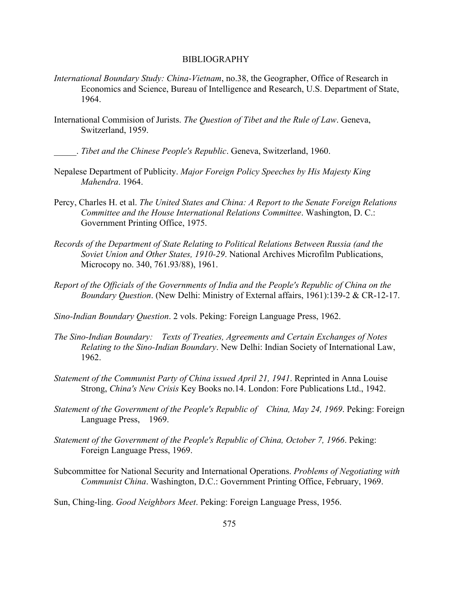- *International Boundary Study: China-Vietnam*, no.38, the Geographer, Office of Research in Economics and Science, Bureau of Intelligence and Research, U.S. Department of State, 1964.
- International Commision of Jurists. *The Question of Tibet and the Rule of Law*. Geneva, Switzerland, 1959.

\_\_\_\_\_. *Tibet and the Chinese People's Republic*. Geneva, Switzerland, 1960.

- Nepalese Department of Publicity. *Major Foreign Policy Speeches by His Majesty King Mahendra*. 1964.
- Percy, Charles H. et al. *The United States and China: A Report to the Senate Foreign Relations Committee and the House International Relations Committee*. Washington, D. C.: Government Printing Office, 1975.
- *Records of the Department of State Relating to Political Relations Between Russia (and the Soviet Union and Other States, 1910-29*. National Archives Microfilm Publications, Microcopy no. 340, 761.93/88), 1961.
- *Report of the Officials of the Governments of India and the People's Republic of China on the Boundary Question*. (New Delhi: Ministry of External affairs, 1961):139-2 & CR-12-17.

*Sino-Indian Boundary Question*. 2 vols. Peking: Foreign Language Press, 1962.

- *The Sino-Indian Boundary: Texts of Treaties, Agreements and Certain Exchanges of Notes Relating to the Sino-Indian Boundary*. New Delhi: Indian Society of International Law, 1962.
- *Statement of the Communist Party of China issued April 21, 1941*. Reprinted in Anna Louise Strong, *China's New Crisis* Key Books no.14. London: Fore Publications Ltd., 1942.
- *Statement of the Government of the People's Republic of China, May 24, 1969*. Peking: Foreign Language Press, 1969.
- *Statement of the Government of the People's Republic of China, October 7, 1966*. Peking: Foreign Language Press, 1969.
- Subcommittee for National Security and International Operations. *Problems of Negotiating with Communist China*. Washington, D.C.: Government Printing Office, February, 1969.

Sun, Ching-ling. *Good Neighbors Meet*. Peking: Foreign Language Press, 1956.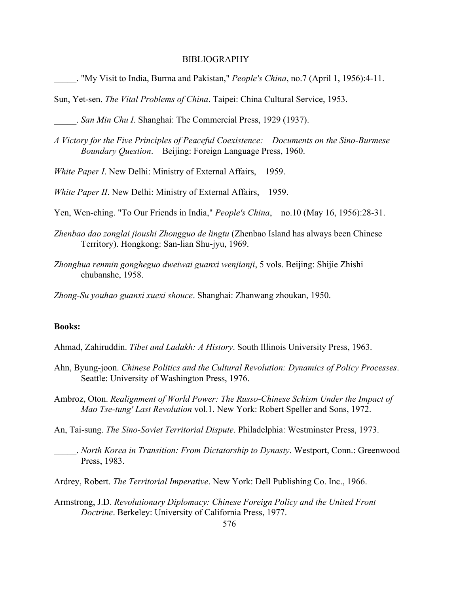\_\_\_\_\_. "My Visit to India, Burma and Pakistan," *People's China*, no.7 (April 1, 1956):4-11.

Sun, Yet-sen. *The Vital Problems of China*. Taipei: China Cultural Service, 1953.

\_\_\_\_\_. *San Min Chu I*. Shanghai: The Commercial Press, 1929 (1937).

*A Victory for the Five Principles of Peaceful Coexistence: Documents on the Sino-Burmese Boundary Question*. Beijing: Foreign Language Press, 1960.

*White Paper I*. New Delhi: Ministry of External Affairs, 1959.

*White Paper II.* New Delhi: Ministry of External Affairs, 1959.

Yen, Wen-ching. "To Our Friends in India," *People's China*, no.10 (May 16, 1956):28-31.

- *Zhenbao dao zonglai jioushi Zhongguo de lingtu* (Zhenbao Island has always been Chinese Territory). Hongkong: San-lian Shu-jyu, 1969.
- *Zhonghua renmin gongheguo dweiwai guanxi wenjianji*, 5 vols. Beijing: Shijie Zhishi chubanshe, 1958.

*Zhong-Su youhao guanxi xuexi shouce*. Shanghai: Zhanwang zhoukan, 1950.

# **Books:**

Ahmad, Zahiruddin. *Tibet and Ladakh: A History*. South Illinois University Press, 1963.

- Ahn, Byung-joon. *Chinese Politics and the Cultural Revolution: Dynamics of Policy Processes*. Seattle: University of Washington Press, 1976.
- Ambroz, Oton. *Realignment of World Power: The Russo-Chinese Schism Under the Impact of Mao Tse-tung' Last Revolution* vol.1. New York: Robert Speller and Sons, 1972.

An, Tai-sung. *The Sino-Soviet Territorial Dispute*. Philadelphia: Westminster Press, 1973.

\_\_\_\_\_. *North Korea in Transition: From Dictatorship to Dynasty*. Westport, Conn.: Greenwood Press, 1983.

Ardrey, Robert. *The Territorial Imperative*. New York: Dell Publishing Co. Inc., 1966.

Armstrong, J.D. *Revolutionary Diplomacy: Chinese Foreign Policy and the United Front Doctrine*. Berkeley: University of California Press, 1977.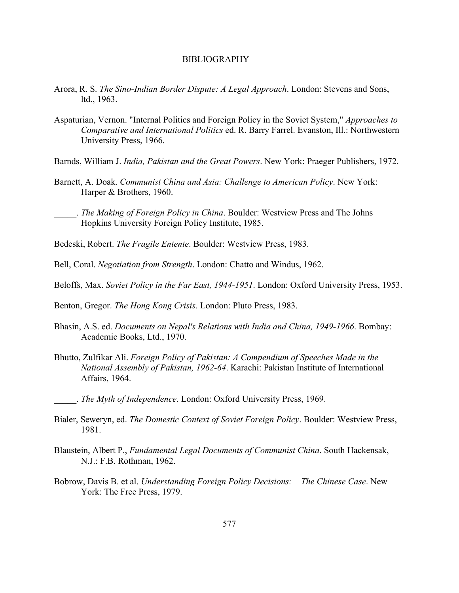- Arora, R. S. *The Sino-Indian Border Dispute: A Legal Approach*. London: Stevens and Sons, ltd., 1963.
- Aspaturian, Vernon. "Internal Politics and Foreign Policy in the Soviet System," *Approaches to Comparative and International Politics* ed. R. Barry Farrel. Evanston, Ill.: Northwestern University Press, 1966.
- Barnds, William J. *India, Pakistan and the Great Powers*. New York: Praeger Publishers, 1972.
- Barnett, A. Doak. *Communist China and Asia: Challenge to American Policy*. New York: Harper & Brothers, 1960.
- \_\_\_\_\_. *The Making of Foreign Policy in China*. Boulder: Westview Press and The Johns Hopkins University Foreign Policy Institute, 1985.
- Bedeski, Robert. *The Fragile Entente*. Boulder: Westview Press, 1983.
- Bell, Coral. *Negotiation from Strength*. London: Chatto and Windus, 1962.
- Beloffs, Max. *Soviet Policy in the Far East, 1944-1951*. London: Oxford University Press, 1953.
- Benton, Gregor. *The Hong Kong Crisis*. London: Pluto Press, 1983.
- Bhasin, A.S. ed. *Documents on Nepal's Relations with India and China, 1949-1966*. Bombay: Academic Books, Ltd., 1970.
- Bhutto, Zulfikar Ali. *Foreign Policy of Pakistan: A Compendium of Speeches Made in the National Assembly of Pakistan, 1962-64*. Karachi: Pakistan Institute of International Affairs, 1964.
	- \_\_\_\_\_. *The Myth of Independence*. London: Oxford University Press, 1969.
- Bialer, Seweryn, ed. *The Domestic Context of Soviet Foreign Policy*. Boulder: Westview Press, 1981.
- Blaustein, Albert P., *Fundamental Legal Documents of Communist China*. South Hackensak, N.J.: F.B. Rothman, 1962.
- Bobrow, Davis B. et al. *Understanding Foreign Policy Decisions: The Chinese Case*. New York: The Free Press, 1979.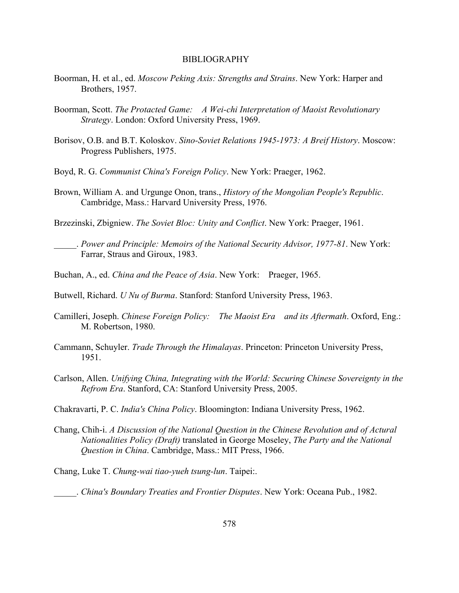- Boorman, H. et al., ed. *Moscow Peking Axis: Strengths and Strains*. New York: Harper and Brothers, 1957.
- Boorman, Scott. *The Protacted Game: A Wei-chi Interpretation of Maoist Revolutionary Strategy*. London: Oxford University Press, 1969.
- Borisov, O.B. and B.T. Koloskov. *Sino-Soviet Relations 1945-1973: A Breif History*. Moscow: Progress Publishers, 1975.
- Boyd, R. G. *Communist China's Foreign Policy*. New York: Praeger, 1962.
- Brown, William A. and Urgunge Onon, trans., *History of the Mongolian People's Republic*. Cambridge, Mass.: Harvard University Press, 1976.
- Brzezinski, Zbigniew. *The Soviet Bloc: Unity and Conflict*. New York: Praeger, 1961.
	- \_\_\_\_\_. *Power and Principle: Memoirs of the National Security Advisor, 1977-81*. New York: Farrar, Straus and Giroux, 1983.
- Buchan, A., ed. *China and the Peace of Asia*. New York: Praeger, 1965.
- Butwell, Richard. *U Nu of Burma*. Stanford: Stanford University Press, 1963.
- Camilleri, Joseph. *Chinese Foreign Policy: The Maoist Era and its Aftermath*. Oxford, Eng.: M. Robertson, 1980.
- Cammann, Schuyler. *Trade Through the Himalayas*. Princeton: Princeton University Press, 1951.
- Carlson, Allen. *Unifying China, Integrating with the World: Securing Chinese Sovereignty in the Refrom Era*. Stanford, CA: Stanford University Press, 2005.
- Chakravarti, P. C. *India's China Policy*. Bloomington: Indiana University Press, 1962.
- Chang, Chih-i. *A Discussion of the National Question in the Chinese Revolution and of Actural Nationalities Policy (Draft)* translated in George Moseley, *The Party and the National Question in China*. Cambridge, Mass.: MIT Press, 1966.
- Chang, Luke T. *Chung-wai tiao-yueh tsung-lun*. Taipei:.

\_\_\_\_\_. *China's Boundary Treaties and Frontier Disputes*. New York: Oceana Pub., 1982.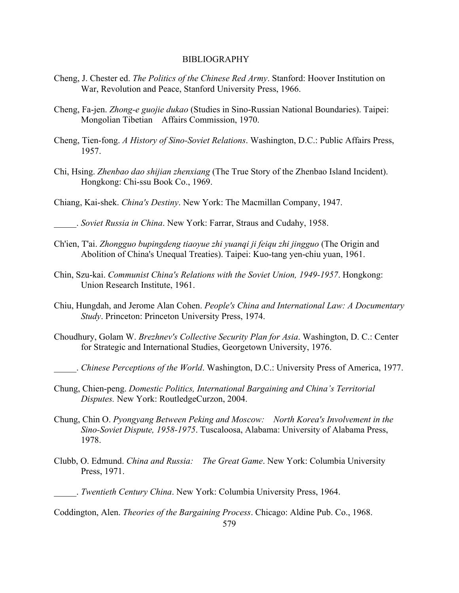- Cheng, J. Chester ed. *The Politics of the Chinese Red Army*. Stanford: Hoover Institution on War, Revolution and Peace, Stanford University Press, 1966.
- Cheng, Fa-jen. *Zhong-e guojie dukao* (Studies in Sino-Russian National Boundaries). Taipei: Mongolian Tibetian Affairs Commission, 1970.
- Cheng, Tien-fong. *A History of Sino-Soviet Relations*. Washington, D.C.: Public Affairs Press, 1957.
- Chi, Hsing. *Zhenbao dao shijian zhenxiang* (The True Story of the Zhenbao Island Incident). Hongkong: Chi-ssu Book Co., 1969.
- Chiang, Kai-shek. *China's Destiny*. New York: The Macmillan Company, 1947.
- \_\_\_\_\_. *Soviet Russia in China*. New York: Farrar, Straus and Cudahy, 1958.
- Ch'ien, T'ai. *Zhongguo bupingdeng tiaoyue zhi yuanqi ji feiqu zhi jingguo* (The Origin and Abolition of China's Unequal Treaties). Taipei: Kuo-tang yen-chiu yuan, 1961.
- Chin, Szu-kai. *Communist China's Relations with the Soviet Union, 1949-1957*. Hongkong: Union Research Institute, 1961.
- Chiu, Hungdah, and Jerome Alan Cohen. *People's China and International Law: A Documentary Study*. Princeton: Princeton University Press, 1974.
- Choudhury, Golam W. *Brezhnev's Collective Security Plan for Asia*. Washington, D. C.: Center for Strategic and International Studies, Georgetown University, 1976.
- \_\_\_\_\_. *Chinese Perceptions of the World*. Washington, D.C.: University Press of America, 1977.
- Chung, Chien-peng. *Domestic Politics, International Bargaining and China's Territorial Disputes.* New York: RoutledgeCurzon, 2004.
- Chung, Chin O. *Pyongyang Between Peking and Moscow: North Korea's Involvement in the Sino-Soviet Dispute, 1958-1975*. Tuscaloosa, Alabama: University of Alabama Press, 1978.
- Clubb, O. Edmund. *China and Russia: The Great Game*. New York: Columbia University Press, 1971.

Coddington, Alen. *Theories of the Bargaining Process*. Chicago: Aldine Pub. Co., 1968.

\_\_\_\_\_. *Twentieth Century China*. New York: Columbia University Press, 1964.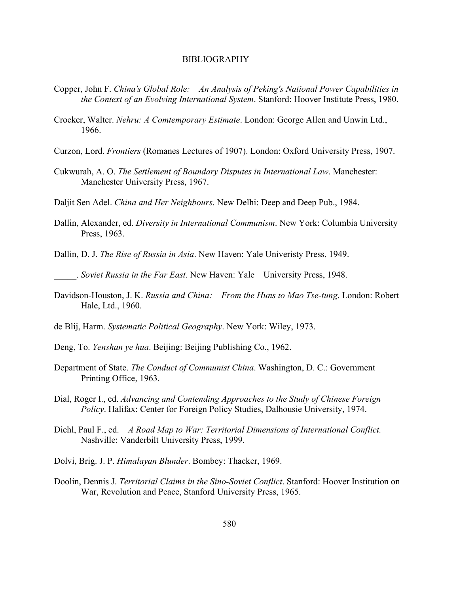- Copper, John F. *China's Global Role: An Analysis of Peking's National Power Capabilities in the Context of an Evolving International System*. Stanford: Hoover Institute Press, 1980.
- Crocker, Walter. *Nehru: A Comtemporary Estimate*. London: George Allen and Unwin Ltd., 1966.
- Curzon, Lord. *Frontiers* (Romanes Lectures of 1907). London: Oxford University Press, 1907.
- Cukwurah, A. O. *The Settlement of Boundary Disputes in International Law*. Manchester: Manchester University Press, 1967.
- Daljit Sen Adel. *China and Her Neighbours*. New Delhi: Deep and Deep Pub., 1984.
- Dallin, Alexander, ed. *Diversity in International Communism*. New York: Columbia University Press, 1963.
- Dallin, D. J. *The Rise of Russia in Asia*. New Haven: Yale Univeristy Press, 1949.

\_\_\_\_\_. *Soviet Russia in the Far East*. New Haven: Yale University Press, 1948.

- Davidson-Houston, J. K. *Russia and China: From the Huns to Mao Tse-tung*. London: Robert Hale, Ltd., 1960.
- de Blij, Harm. *Systematic Political Geography*. New York: Wiley, 1973.
- Deng, To. *Yenshan ye hua*. Beijing: Beijing Publishing Co., 1962.
- Department of State. *The Conduct of Communist China*. Washington, D. C.: Government Printing Office, 1963.
- Dial, Roger I., ed. *Advancing and Contending Approaches to the Study of Chinese Foreign Policy*. Halifax: Center for Foreign Policy Studies, Dalhousie University, 1974.
- Diehl, Paul F., ed. *A Road Map to War: Territorial Dimensions of International Conflict.* Nashville: Vanderbilt University Press, 1999.
- Dolvi, Brig. J. P. *Himalayan Blunder*. Bombey: Thacker, 1969.
- Doolin, Dennis J. *Territorial Claims in the Sino-Soviet Conflict*. Stanford: Hoover Institution on War, Revolution and Peace, Stanford University Press, 1965.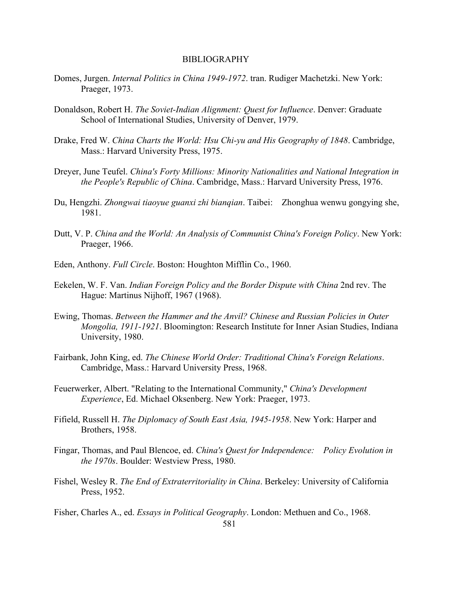- Domes, Jurgen. *Internal Politics in China 1949-1972*. tran. Rudiger Machetzki. New York: Praeger, 1973.
- Donaldson, Robert H. *The Soviet-Indian Alignment: Quest for Influence*. Denver: Graduate School of International Studies, University of Denver, 1979.
- Drake, Fred W. *China Charts the World: Hsu Chi-yu and His Geography of 1848*. Cambridge, Mass.: Harvard University Press, 1975.
- Dreyer, June Teufel. *China's Forty Millions: Minority Nationalities and National Integration in the People's Republic of China*. Cambridge, Mass.: Harvard University Press, 1976.
- Du, Hengzhi. *Zhongwai tiaoyue guanxi zhi bianqian*. Taibei: Zhonghua wenwu gongying she, 1981.
- Dutt, V. P. *China and the World: An Analysis of Communist China's Foreign Policy*. New York: Praeger, 1966.
- Eden, Anthony. *Full Circle*. Boston: Houghton Mifflin Co., 1960.
- Eekelen, W. F. Van. *Indian Foreign Policy and the Border Dispute with China* 2nd rev. The Hague: Martinus Nijhoff, 1967 (1968).
- Ewing, Thomas. *Between the Hammer and the Anvil? Chinese and Russian Policies in Outer Mongolia, 1911-1921*. Bloomington: Research Institute for Inner Asian Studies, Indiana University, 1980.
- Fairbank, John King, ed. *The Chinese World Order: Traditional China's Foreign Relations*. Cambridge, Mass.: Harvard University Press, 1968.
- Feuerwerker, Albert. "Relating to the International Community," *China's Development Experience*, Ed. Michael Oksenberg. New York: Praeger, 1973.
- Fifield, Russell H. *The Diplomacy of South East Asia, 1945-1958*. New York: Harper and Brothers, 1958.
- Fingar, Thomas, and Paul Blencoe, ed. *China's Quest for Independence: Policy Evolution in the 1970s*. Boulder: Westview Press, 1980.
- Fishel, Wesley R. *The End of Extraterritoriality in China*. Berkeley: University of California Press, 1952.

Fisher, Charles A., ed. *Essays in Political Geography*. London: Methuen and Co., 1968.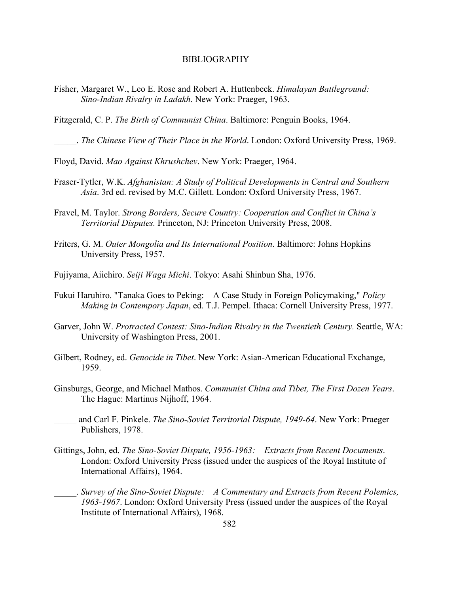Fisher, Margaret W., Leo E. Rose and Robert A. Huttenbeck. *Himalayan Battleground: Sino-Indian Rivalry in Ladakh*. New York: Praeger, 1963.

Fitzgerald, C. P. *The Birth of Communist China*. Baltimore: Penguin Books, 1964.

\_\_\_\_\_. *The Chinese View of Their Place in the World*. London: Oxford University Press, 1969.

Floyd, David. *Mao Against Khrushchev*. New York: Praeger, 1964.

- Fraser-Tytler, W.K. *Afghanistan: A Study of Political Developments in Central and Southern Asia*. 3rd ed. revised by M.C. Gillett. London: Oxford University Press, 1967.
- Fravel, M. Taylor. *Strong Borders, Secure Country: Cooperation and Conflict in China's Territorial Disputes.* Princeton, NJ: Princeton University Press, 2008.
- Friters, G. M. *Outer Mongolia and Its International Position*. Baltimore: Johns Hopkins University Press, 1957.
- Fujiyama, Aiichiro. *Seiji Waga Michi*. Tokyo: Asahi Shinbun Sha, 1976.
- Fukui Haruhiro. "Tanaka Goes to Peking: A Case Study in Foreign Policymaking," *Policy Making in Contempory Japan*, ed. T.J. Pempel. Ithaca: Cornell University Press, 1977.
- Garver, John W. *Protracted Contest: Sino-Indian Rivalry in the Twentieth Century.* Seattle, WA: University of Washington Press, 2001.
- Gilbert, Rodney, ed. *Genocide in Tibet*. New York: Asian-American Educational Exchange, 1959.
- Ginsburgs, George, and Michael Mathos. *Communist China and Tibet, The First Dozen Years*. The Hague: Martinus Nijhoff, 1964.
- \_\_\_\_\_ and Carl F. Pinkele. *The Sino-Soviet Territorial Dispute, 1949-64*. New York: Praeger Publishers, 1978.
- Gittings, John, ed. *The Sino-Soviet Dispute, 1956-1963: Extracts from Recent Documents*. London: Oxford University Press (issued under the auspices of the Royal Institute of International Affairs), 1964.
- \_\_\_\_\_. *Survey of the Sino-Soviet Dispute: A Commentary and Extracts from Recent Polemics, 1963-1967*. London: Oxford University Press (issued under the auspices of the Royal Institute of International Affairs), 1968.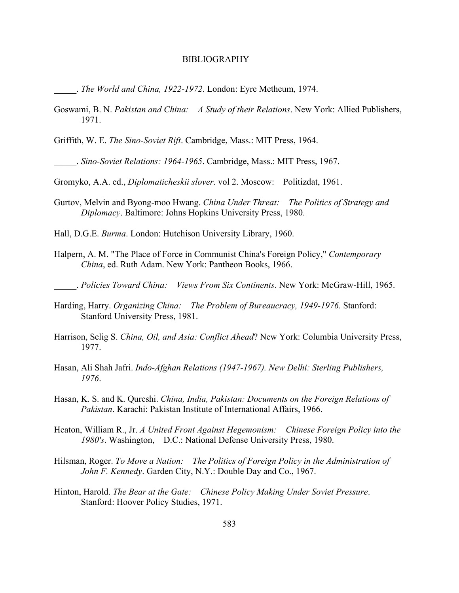\_\_\_\_\_. *The World and China, 1922-1972*. London: Eyre Metheum, 1974.

- Goswami, B. N. *Pakistan and China: A Study of their Relations*. New York: Allied Publishers, 1971.
- Griffith, W. E. *The Sino-Soviet Rift*. Cambridge, Mass.: MIT Press, 1964.

\_\_\_\_\_. *Sino-Soviet Relations: 1964-1965*. Cambridge, Mass.: MIT Press, 1967.

Gromyko, A.A. ed., *Diplomaticheskii slover*. vol 2. Moscow: Politizdat, 1961.

Gurtov, Melvin and Byong-moo Hwang. *China Under Threat: The Politics of Strategy and Diplomacy*. Baltimore: Johns Hopkins University Press, 1980.

Hall, D.G.E. *Burma*. London: Hutchison University Library, 1960.

- Halpern, A. M. "The Place of Force in Communist China's Foreign Policy," *Contemporary China*, ed. Ruth Adam. New York: Pantheon Books, 1966.
	- \_\_\_\_\_. *Policies Toward China: Views From Six Continents*. New York: McGraw-Hill, 1965.
- Harding, Harry. *Organizing China: The Problem of Bureaucracy, 1949-1976*. Stanford: Stanford University Press, 1981.
- Harrison, Selig S. *China, Oil, and Asia: Conflict Ahead*? New York: Columbia University Press, 1977.
- Hasan, Ali Shah Jafri. *Indo-Afghan Relations (1947-1967). New Delhi: Sterling Publishers, 1976*.
- Hasan, K. S. and K. Qureshi. *China, India, Pakistan: Documents on the Foreign Relations of Pakistan*. Karachi: Pakistan Institute of International Affairs, 1966.
- Heaton, William R., Jr. *A United Front Against Hegemonism: Chinese Foreign Policy into the 1980's*. Washington, D.C.: National Defense University Press, 1980.
- Hilsman, Roger. *To Move a Nation: The Politics of Foreign Policy in the Administration of John F. Kennedy*. Garden City, N.Y.: Double Day and Co., 1967.
- Hinton, Harold. *The Bear at the Gate: Chinese Policy Making Under Soviet Pressure*. Stanford: Hoover Policy Studies, 1971.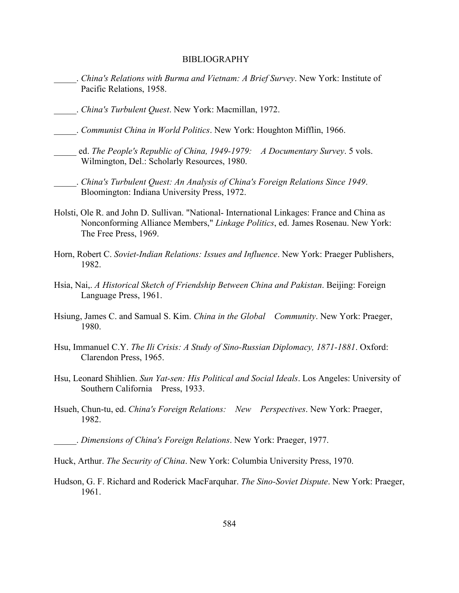- \_\_\_\_\_. *China's Relations with Burma and Vietnam: A Brief Survey*. New York: Institute of Pacific Relations, 1958.
- \_\_\_\_\_. *China's Turbulent Quest*. New York: Macmillan, 1972.
- \_\_\_\_\_. *Communist China in World Politics*. New York: Houghton Mifflin, 1966.
- \_\_\_\_\_ ed. *The People's Republic of China, 1949-1979: A Documentary Survey*. 5 vols. Wilmington, Del.: Scholarly Resources, 1980.
- \_\_\_\_\_. *China's Turbulent Quest: An Analysis of China's Foreign Relations Since 1949*. Bloomington: Indiana University Press, 1972.
- Holsti, Ole R. and John D. Sullivan. "National- International Linkages: France and China as Nonconforming Alliance Members," *Linkage Politics*, ed. James Rosenau. New York: The Free Press, 1969.
- Horn, Robert C. *Soviet-Indian Relations: Issues and Influence*. New York: Praeger Publishers, 1982.
- Hsia, Nai,. *A Historical Sketch of Friendship Between China and Pakistan*. Beijing: Foreign Language Press, 1961.
- Hsiung, James C. and Samual S. Kim. *China in the Global Community*. New York: Praeger, 1980.
- Hsu, Immanuel C.Y. *The Ili Crisis: A Study of Sino-Russian Diplomacy, 1871-1881*. Oxford: Clarendon Press, 1965.
- Hsu, Leonard Shihlien. *Sun Yat-sen: His Political and Social Ideals*. Los Angeles: University of Southern California Press, 1933.
- Hsueh, Chun-tu, ed. *China's Foreign Relations: New Perspectives*. New York: Praeger, 1982.
	- \_\_\_\_\_. *Dimensions of China's Foreign Relations*. New York: Praeger, 1977.

Hudson, G. F. Richard and Roderick MacFarquhar. *The Sino-Soviet Dispute*. New York: Praeger, 1961.

Huck, Arthur. *The Security of China*. New York: Columbia University Press, 1970.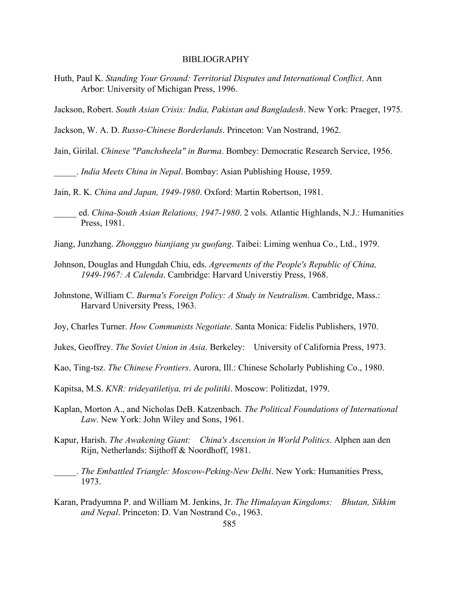- Huth, Paul K. *Standing Your Ground: Territorial Disputes and International Conflict*. Ann Arbor: University of Michigan Press, 1996.
- Jackson, Robert. *South Asian Crisis: India, Pakistan and Bangladesh*. New York: Praeger, 1975.
- Jackson, W. A. D. *Russo-Chinese Borderlands*. Princeton: Van Nostrand, 1962.
- Jain, Girilal. *Chinese "Panchsheela" in Burma*. Bombey: Democratic Research Service, 1956.
- \_\_\_\_\_. *India Meets China in Nepal*. Bombay: Asian Publishing House, 1959.

Jain, R. K. *China and Japan, 1949-1980*. Oxford: Martin Robertson, 1981.

- \_\_\_\_\_ ed. *China-South Asian Relations, 1947-1980*. 2 vols. Atlantic Highlands, N.J.: Humanities Press, 1981.
- Jiang, Junzhang. *Zhongguo bianjiang yu guofang*. Taibei: Liming wenhua Co., Ltd., 1979.
- Johnson, Douglas and Hungdah Chiu, eds. *Agreements of the People's Republic of China, 1949-1967: A Calenda*. Cambridge: Harvard Universtiy Press, 1968.
- Johnstone, William C. *Burma's Foreign Policy: A Study in Neutralism*. Cambridge, Mass.: Harvard University Press, 1963.
- Joy, Charles Turner. *How Communists Negotiate*. Santa Monica: Fidelis Publishers, 1970.
- Jukes, Geoffrey. *The Soviet Union in Asia*. Berkeley: University of California Press, 1973.
- Kao, Ting-tsz. *The Chinese Frontiers*. Aurora, Ill.: Chinese Scholarly Publishing Co., 1980.
- Kapitsa, M.S. *KNR: trideyatiletiya, tri de politiki*. Moscow: Politizdat, 1979.
- Kaplan, Morton A., and Nicholas DeB. Katzenbach. *The Political Foundations of International Law*. New York: John Wiley and Sons, 1961.
- Kapur, Harish. *The Awakening Giant: China's Ascension in World Politics*. Alphen aan den Rijn, Netherlands: Sijthoff & Noordhoff, 1981.
	- \_\_\_\_\_. *The Embattled Triangle: Moscow-Peking-New Delhi*. New York: Humanities Press, 1973.
- Karan, Pradyumna P. and William M. Jenkins, Jr. *The Himalayan Kingdoms: Bhutan, Sikkim and Nepal*. Princeton: D. Van Nostrand Co., 1963.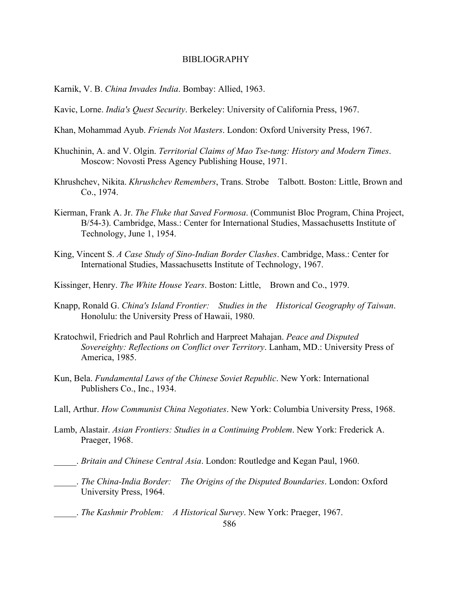- Karnik, V. B. *China Invades India*. Bombay: Allied, 1963.
- Kavic, Lorne. *India's Quest Security*. Berkeley: University of California Press, 1967.
- Khan, Mohammad Ayub. *Friends Not Masters*. London: Oxford University Press, 1967.
- Khuchinin, A. and V. Olgin. *Territorial Claims of Mao Tse-tung: History and Modern Times*. Moscow: Novosti Press Agency Publishing House, 1971.
- Khrushchev, Nikita. *Khrushchev Remembers*, Trans. Strobe Talbott. Boston: Little, Brown and Co., 1974.
- Kierman, Frank A. Jr. *The Fluke that Saved Formosa*. (Communist Bloc Program, China Project, B/54-3). Cambridge, Mass.: Center for International Studies, Massachusetts Institute of Technology, June 1, 1954.
- King, Vincent S. *A Case Study of Sino-Indian Border Clashes*. Cambridge, Mass.: Center for International Studies, Massachusetts Institute of Technology, 1967.
- Kissinger, Henry. *The White House Years*. Boston: Little, Brown and Co., 1979.
- Knapp, Ronald G. *China's Island Frontier: Studies in the Historical Geography of Taiwan*. Honolulu: the University Press of Hawaii, 1980.
- Kratochwil, Friedrich and Paul Rohrlich and Harpreet Mahajan. *Peace and Disputed Sovereighty: Reflections on Conflict over Territory*. Lanham, MD.: University Press of America, 1985.
- Kun, Bela. *Fundamental Laws of the Chinese Soviet Republic*. New York: International Publishers Co., Inc., 1934.
- Lall, Arthur. *How Communist China Negotiates*. New York: Columbia University Press, 1968.
- Lamb, Alastair. *Asian Frontiers: Studies in a Continuing Problem*. New York: Frederick A. Praeger, 1968.
- \_\_\_\_\_. *Britain and Chinese Central Asia*. London: Routledge and Kegan Paul, 1960.
- \_\_\_\_\_. *The China-India Border: The Origins of the Disputed Boundaries*. London: Oxford University Press, 1964.
- \_\_\_\_\_. *The Kashmir Problem: A Historical Survey*. New York: Praeger, 1967.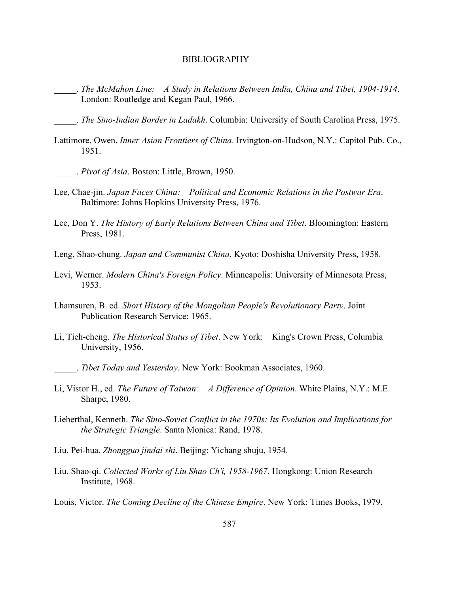\_\_\_\_\_. *The McMahon Line: A Study in Relations Between India, China and Tibet, 1904-1914*. London: Routledge and Kegan Paul, 1966.

\_\_\_\_\_. *The Sino-Indian Border in Ladakh*. Columbia: University of South Carolina Press, 1975.

- Lattimore, Owen. *Inner Asian Frontiers of China*. Irvington-on-Hudson, N.Y.: Capitol Pub. Co., 1951.
- \_\_\_\_\_. *Pivot of Asia*. Boston: Little, Brown, 1950.
- Lee, Chae-jin. *Japan Faces China: Political and Economic Relations in the Postwar Era*. Baltimore: Johns Hopkins University Press, 1976.
- Lee, Don Y. *The History of Early Relations Between China and Tibet*. Bloomington: Eastern Press, 1981.
- Leng, Shao-chung. *Japan and Communist China*. Kyoto: Doshisha University Press, 1958.
- Levi, Werner. *Modern China's Foreign Policy*. Minneapolis: University of Minnesota Press, 1953.
- Lhamsuren, B. ed. *Short History of the Mongolian People's Revolutionary Party*. Joint Publication Research Service: 1965.
- Li, Tieh-cheng. *The Historical Status of Tibet*. New York: King's Crown Press, Columbia University, 1956.
	- \_\_\_\_\_. *Tibet Today and Yesterday*. New York: Bookman Associates, 1960.
- Li, Vistor H., ed. *The Future of Taiwan: A Difference of Opinion*. White Plains, N.Y.: M.E. Sharpe, 1980.
- Lieberthal, Kenneth. *The Sino-Soviet Conflict in the 1970s: Its Evolution and Implications for the Strategic Triangle*. Santa Monica: Rand, 1978.
- Liu, Pei-hua. *Zhongguo jindai shi*. Beijing: Yichang shuju, 1954.
- Liu, Shao-qi. *Collected Works of Liu Shao Ch'i, 1958-1967*. Hongkong: Union Research Institute, 1968.
- Louis, Victor. *The Coming Decline of the Chinese Empire*. New York: Times Books, 1979.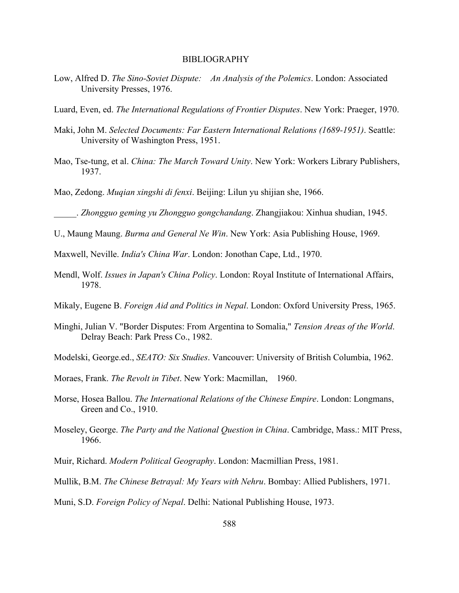- Low, Alfred D. *The Sino-Soviet Dispute: An Analysis of the Polemics*. London: Associated University Presses, 1976.
- Luard, Even, ed. *The International Regulations of Frontier Disputes*. New York: Praeger, 1970.
- Maki, John M. *Selected Documents: Far Eastern International Relations (1689-1951)*. Seattle: University of Washington Press, 1951.
- Mao, Tse-tung, et al. *China: The March Toward Unity*. New York: Workers Library Publishers, 1937.
- Mao, Zedong. *Muqian xingshi di fenxi*. Beijing: Lilun yu shijian she, 1966.

\_\_\_\_\_. *Zhongguo geming yu Zhongguo gongchandang*. Zhangjiakou: Xinhua shudian, 1945.

U., Maung Maung. *Burma and General Ne Win*. New York: Asia Publishing House, 1969.

Maxwell, Neville. *India's China War*. London: Jonothan Cape, Ltd., 1970.

- Mendl, Wolf. *Issues in Japan's China Policy*. London: Royal Institute of International Affairs, 1978.
- Mikaly, Eugene B. *Foreign Aid and Politics in Nepal*. London: Oxford University Press, 1965.
- Minghi, Julian V. "Border Disputes: From Argentina to Somalia," *Tension Areas of the World*. Delray Beach: Park Press Co., 1982.
- Modelski, George.ed., *SEATO: Six Studies*. Vancouver: University of British Columbia, 1962.
- Moraes, Frank. *The Revolt in Tibet*. New York: Macmillan, 1960.
- Morse, Hosea Ballou. *The International Relations of the Chinese Empire*. London: Longmans, Green and Co., 1910.
- Moseley, George. *The Party and the National Question in China*. Cambridge, Mass.: MIT Press, 1966.
- Muir, Richard. *Modern Political Geography*. London: Macmillian Press, 1981.
- Mullik, B.M. *The Chinese Betrayal: My Years with Nehru*. Bombay: Allied Publishers, 1971.

Muni, S.D. *Foreign Policy of Nepal*. Delhi: National Publishing House, 1973.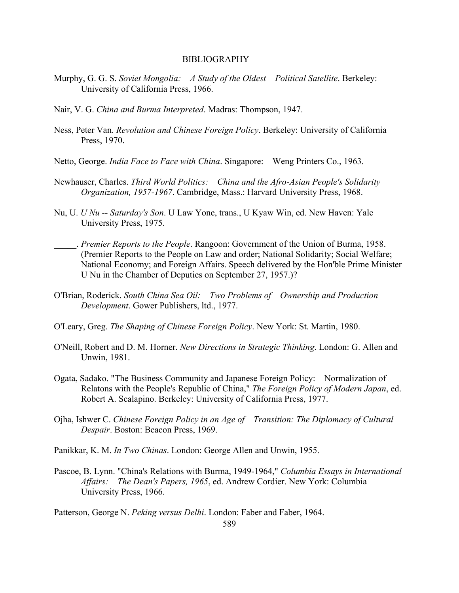- Murphy, G. G. S. *Soviet Mongolia: A Study of the Oldest Political Satellite*. Berkeley: University of California Press, 1966.
- Nair, V. G. *China and Burma Interpreted*. Madras: Thompson, 1947.
- Ness, Peter Van. *Revolution and Chinese Foreign Policy*. Berkeley: University of California Press, 1970.
- Netto, George. *India Face to Face with China*. Singapore: Weng Printers Co., 1963.
- Newhauser, Charles. *Third World Politics: China and the Afro-Asian People's Solidarity Organization, 1957-1967*. Cambridge, Mass.: Harvard University Press, 1968.
- Nu, U. *U Nu -- Saturday's Son*. U Law Yone, trans., U Kyaw Win, ed. New Haven: Yale University Press, 1975.
- \_\_\_\_\_. *Premier Reports to the People*. Rangoon: Government of the Union of Burma, 1958. (Premier Reports to the People on Law and order; National Solidarity; Social Welfare; National Economy; and Foreign Affairs. Speech delivered by the Hon'ble Prime Minister U Nu in the Chamber of Deputies on September 27, 1957.)?
- O'Brian, Roderick. *South China Sea Oil: Two Problems of Ownership and Production Development*. Gower Publishers, ltd., 1977.
- O'Leary, Greg. *The Shaping of Chinese Foreign Policy*. New York: St. Martin, 1980.
- O'Neill, Robert and D. M. Horner. *New Directions in Strategic Thinking*. London: G. Allen and Unwin, 1981.
- Ogata, Sadako. "The Business Community and Japanese Foreign Policy: Normalization of Relatons with the People's Republic of China," *The Foreign Policy of Modern Japan*, ed. Robert A. Scalapino. Berkeley: University of California Press, 1977.
- Ojha, Ishwer C. *Chinese Foreign Policy in an Age of Transition: The Diplomacy of Cultural Despair*. Boston: Beacon Press, 1969.
- Panikkar, K. M. *In Two Chinas*. London: George Allen and Unwin, 1955.
- Pascoe, B. Lynn. "China's Relations with Burma, 1949-1964," *Columbia Essays in International Affairs: The Dean's Papers, 1965*, ed. Andrew Cordier. New York: Columbia University Press, 1966.

Patterson, George N. *Peking versus Delhi*. London: Faber and Faber, 1964.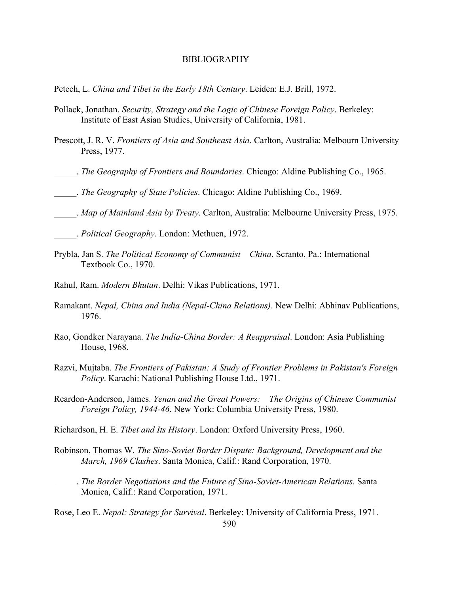Petech, L. *China and Tibet in the Early 18th Century*. Leiden: E.J. Brill, 1972.

- Pollack, Jonathan. *Security, Strategy and the Logic of Chinese Foreign Policy*. Berkeley: Institute of East Asian Studies, University of California, 1981.
- Prescott, J. R. V. *Frontiers of Asia and Southeast Asia*. Carlton, Australia: Melbourn University Press, 1977.
- \_\_\_\_\_. *The Geography of Frontiers and Boundaries*. Chicago: Aldine Publishing Co., 1965.
- \_\_\_\_\_. *The Geography of State Policies*. Chicago: Aldine Publishing Co., 1969.
- \_\_\_\_\_. *Map of Mainland Asia by Treaty*. Carlton, Australia: Melbourne University Press, 1975.

- Prybla, Jan S. *The Political Economy of Communist China*. Scranto, Pa.: International Textbook Co., 1970.
- Rahul, Ram. *Modern Bhutan*. Delhi: Vikas Publications, 1971.
- Ramakant. *Nepal, China and India (Nepal-China Relations)*. New Delhi: Abhinav Publications, 1976.
- Rao, Gondker Narayana. *The India-China Border: A Reappraisal*. London: Asia Publishing House, 1968.
- Razvi, Mujtaba. *The Frontiers of Pakistan: A Study of Frontier Problems in Pakistan's Foreign Policy*. Karachi: National Publishing House Ltd., 1971.
- Reardon-Anderson, James. *Yenan and the Great Powers: The Origins of Chinese Communist Foreign Policy, 1944-46*. New York: Columbia University Press, 1980.
- Richardson, H. E. *Tibet and Its History*. London: Oxford University Press, 1960.
- Robinson, Thomas W. *The Sino-Soviet Border Dispute: Background, Development and the March, 1969 Clashes*. Santa Monica, Calif.: Rand Corporation, 1970.
- \_\_\_\_\_. *The Border Negotiations and the Future of Sino-Soviet-American Relations*. Santa Monica, Calif.: Rand Corporation, 1971.

Rose, Leo E. *Nepal: Strategy for Survival*. Berkeley: University of California Press, 1971.

\_\_\_\_\_. *Political Geography*. London: Methuen, 1972.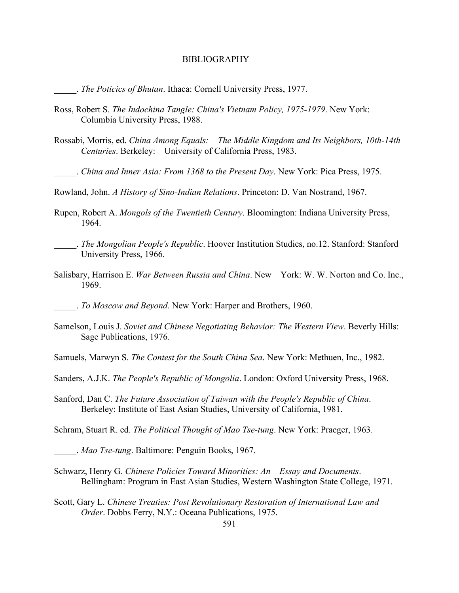\_\_\_\_\_. *The Poticics of Bhutan*. Ithaca: Cornell University Press, 1977.

- Ross, Robert S. *The Indochina Tangle: China's Vietnam Policy, 1975-1979*. New York: Columbia University Press, 1988.
- Rossabi, Morris, ed. *China Among Equals: The Middle Kingdom and Its Neighbors, 10th-14th Centuries*. Berkeley: University of California Press, 1983.
- \_\_\_\_\_. *China and Inner Asia: From 1368 to the Present Day*. New York: Pica Press, 1975.
- Rowland, John. *A History of Sino-Indian Relations*. Princeton: D. Van Nostrand, 1967.
- Rupen, Robert A. *Mongols of the Twentieth Century*. Bloomington: Indiana University Press, 1964.
	- \_\_\_\_\_. *The Mongolian People's Republic*. Hoover Institution Studies, no.12. Stanford: Stanford University Press, 1966.
- Salisbary, Harrison E. *War Between Russia and China*. New York: W. W. Norton and Co. Inc., 1969.
- \_\_\_\_\_. *To Moscow and Beyond*. New York: Harper and Brothers, 1960.
- Samelson, Louis J. *Soviet and Chinese Negotiating Behavior: The Western View*. Beverly Hills: Sage Publications, 1976.
- Samuels, Marwyn S. *The Contest for the South China Sea*. New York: Methuen, Inc., 1982.
- Sanders, A.J.K. *The People's Republic of Mongolia*. London: Oxford University Press, 1968.
- Sanford, Dan C. *The Future Association of Taiwan with the People's Republic of China*. Berkeley: Institute of East Asian Studies, University of California, 1981.

Schram, Stuart R. ed. *The Political Thought of Mao Tse-tung*. New York: Praeger, 1963.

\_\_\_\_\_. *Mao Tse-tung*. Baltimore: Penguin Books, 1967.

- Schwarz, Henry G. *Chinese Policies Toward Minorities: An Essay and Documents*. Bellingham: Program in East Asian Studies, Western Washington State College, 1971.
- Scott, Gary L. *Chinese Treaties: Post Revolutionary Restoration of International Law and Order*. Dobbs Ferry, N.Y.: Oceana Publications, 1975.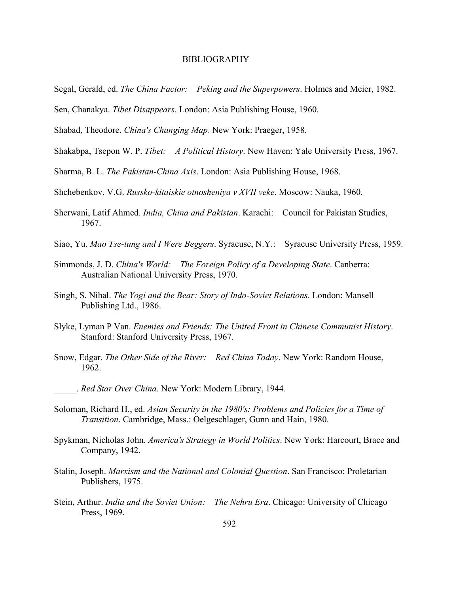- Segal, Gerald, ed. *The China Factor: Peking and the Superpowers*. Holmes and Meier, 1982.
- Sen, Chanakya. *Tibet Disappears*. London: Asia Publishing House, 1960.
- Shabad, Theodore. *China's Changing Map*. New York: Praeger, 1958.
- Shakabpa, Tsepon W. P. *Tibet: A Political History*. New Haven: Yale University Press, 1967.
- Sharma, B. L. *The Pakistan-China Axis*. London: Asia Publishing House, 1968.
- Shchebenkov, V.G. *Russko-kitaiskie otnosheniya v XVII veke*. Moscow: Nauka, 1960.
- Sherwani, Latif Ahmed. *India, China and Pakistan*. Karachi: Council for Pakistan Studies, 1967.
- Siao, Yu. *Mao Tse-tung and I Were Beggers*. Syracuse, N.Y.: Syracuse University Press, 1959.
- Simmonds, J. D. *China's World: The Foreign Policy of a Developing State*. Canberra: Australian National University Press, 1970.
- Singh, S. Nihal. *The Yogi and the Bear: Story of Indo-Soviet Relations*. London: Mansell Publishing Ltd., 1986.
- Slyke, Lyman P Van. *Enemies and Friends: The United Front in Chinese Communist History*. Stanford: Stanford University Press, 1967.
- Snow, Edgar. *The Other Side of the River: Red China Today*. New York: Random House, 1962.
	- \_\_\_\_\_. *Red Star Over China*. New York: Modern Library, 1944.
- Soloman, Richard H., ed. *Asian Security in the 1980's: Problems and Policies for a Time of Transition*. Cambridge, Mass.: Oelgeschlager, Gunn and Hain, 1980.
- Spykman, Nicholas John. *America's Strategy in World Politics*. New York: Harcourt, Brace and Company, 1942.
- Stalin, Joseph. *Marxism and the National and Colonial Question*. San Francisco: Proletarian Publishers, 1975.
- Stein, Arthur. *India and the Soviet Union: The Nehru Era*. Chicago: University of Chicago Press, 1969.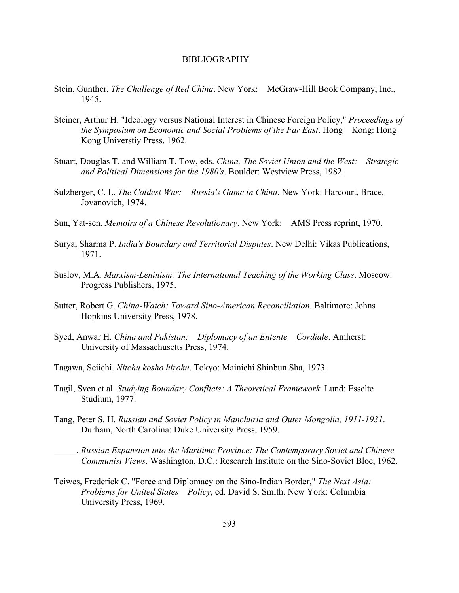- Stein, Gunther. *The Challenge of Red China*. New York: McGraw-Hill Book Company, Inc., 1945.
- Steiner, Arthur H. "Ideology versus National Interest in Chinese Foreign Policy," *Proceedings of the Symposium on Economic and Social Problems of the Far East*. Hong Kong: Hong Kong Universtiy Press, 1962.
- Stuart, Douglas T. and William T. Tow, eds. *China, The Soviet Union and the West: Strategic and Political Dimensions for the 1980's*. Boulder: Westview Press, 1982.
- Sulzberger, C. L. *The Coldest War: Russia's Game in China*. New York: Harcourt, Brace, Jovanovich, 1974.
- Sun, Yat-sen, *Memoirs of a Chinese Revolutionary*. New York: AMS Press reprint, 1970.
- Surya, Sharma P. *India's Boundary and Territorial Disputes*. New Delhi: Vikas Publications, 1971.
- Suslov, M.A. *Marxism-Leninism: The International Teaching of the Working Class*. Moscow: Progress Publishers, 1975.
- Sutter, Robert G. *China-Watch: Toward Sino-American Reconciliation*. Baltimore: Johns Hopkins University Press, 1978.
- Syed, Anwar H. *China and Pakistan: Diplomacy of an Entente Cordiale*. Amherst: University of Massachusetts Press, 1974.
- Tagawa, Seiichi. *Nitchu kosho hiroku*. Tokyo: Mainichi Shinbun Sha, 1973.
- Tagil, Sven et al. *Studying Boundary Conflicts: A Theoretical Framework*. Lund: Esselte Studium, 1977.
- Tang, Peter S. H. *Russian and Soviet Policy in Manchuria and Outer Mongolia, 1911-1931*. Durham, North Carolina: Duke University Press, 1959.

\_\_\_\_\_. *Russian Expansion into the Maritime Province: The Contemporary Soviet and Chinese Communist Views*. Washington, D.C.: Research Institute on the Sino-Soviet Bloc, 1962.

Teiwes, Frederick C. "Force and Diplomacy on the Sino-Indian Border," *The Next Asia: Problems for United States Policy*, ed. David S. Smith. New York: Columbia University Press, 1969.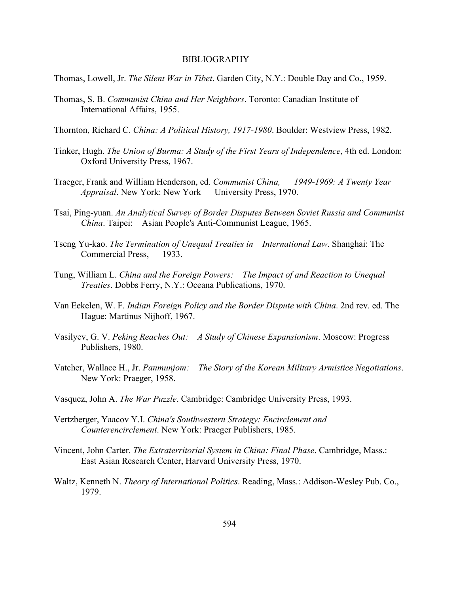Thomas, Lowell, Jr. *The Silent War in Tibet*. Garden City, N.Y.: Double Day and Co., 1959.

- Thomas, S. B. *Communist China and Her Neighbors*. Toronto: Canadian Institute of International Affairs, 1955.
- Thornton, Richard C. *China: A Political History, 1917-1980*. Boulder: Westview Press, 1982.
- Tinker, Hugh. *The Union of Burma: A Study of the First Years of Independence*, 4th ed. London: Oxford University Press, 1967.
- Traeger, Frank and William Henderson, ed. *Communist China, 1949-1969: A Twenty Year Appraisal*. New York: New York University Press, 1970.
- Tsai, Ping-yuan. *An Analytical Survey of Border Disputes Between Soviet Russia and Communist China*. Taipei: Asian People's Anti-Communist League, 1965.
- Tseng Yu-kao. *The Termination of Unequal Treaties in International Law*. Shanghai: The Commercial Press, 1933.
- Tung, William L. *China and the Foreign Powers: The Impact of and Reaction to Unequal Treaties*. Dobbs Ferry, N.Y.: Oceana Publications, 1970.
- Van Eekelen, W. F. *Indian Foreign Policy and the Border Dispute with China*. 2nd rev. ed. The Hague: Martinus Nijhoff, 1967.
- Vasilyev, G. V. *Peking Reaches Out: A Study of Chinese Expansionism*. Moscow: Progress Publishers, 1980.
- Vatcher, Wallace H., Jr. *Panmunjom: The Story of the Korean Military Armistice Negotiations*. New York: Praeger, 1958.
- Vasquez, John A. *The War Puzzle*. Cambridge: Cambridge University Press, 1993.
- Vertzberger, Yaacov Y.I. *China's Southwestern Strategy: Encirclement and Counterencirclement*. New York: Praeger Publishers, 1985.
- Vincent, John Carter. *The Extraterritorial System in China: Final Phase*. Cambridge, Mass.: East Asian Research Center, Harvard University Press, 1970.
- Waltz, Kenneth N. *Theory of International Politics*. Reading, Mass.: Addison-Wesley Pub. Co., 1979.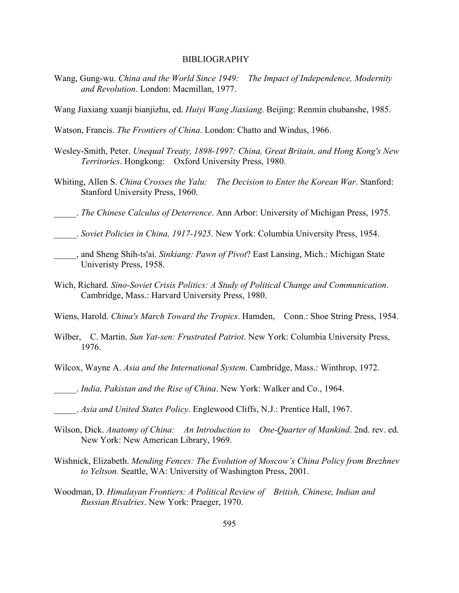- Wang, Gung-wu. *China and the World Since 1949: The Impact of Independence, Modernity and Revolution*. London: Macmillan, 1977.
- Wang Jiaxiang xuanji bianjizhu, ed. *Huiyi Wang Jiaxiang*. Beijing: Renmin chubanshe, 1985.
- Watson, Francis. *The Frontiers of China*. London: Chatto and Windus, 1966.
- Wesley-Smith, Peter. *Unequal Treaty, 1898-1997: China, Great Britain, and Hong Kong's New Territories*. Hongkong: Oxford University Press, 1980.
- Whiting, Allen S. *China Crosses the Yalu: The Decision to Enter the Korean War*. Stanford: Stanford University Press, 1960.
- \_\_\_\_\_. *The Chinese Calculus of Deterrence*. Ann Arbor: University of Michigan Press, 1975.
- \_\_\_\_\_. *Soviet Policies in China, 1917-1925*. New York: Columbia University Press, 1954.
- \_\_\_\_\_, and Sheng Shih-ts'ai. *Sinkiang: Pawn of Pivot*? East Lansing, Mich.: Michigan State Univeristy Press, 1958.
- Wich, Richard. *Sino-Soviet Crisis Politics: A Study of Political Change and Communication*. Cambridge, Mass.: Harvard University Press, 1980.
- Wiens, Harold. *China's March Toward the Tropics*. Hamden, Conn.: Shoe String Press, 1954.
- Wilber, C. Martin. *Sun Yat-sen: Frustrated Patriot*. New York: Columbia University Press, 1976.
- Wilcox, Wayne A. *Asia and the International System*. Cambridge, Mass.: Winthrop, 1972.
- \_\_\_\_\_. *India, Pakistan and the Rise of China*. New York: Walker and Co., 1964.
- \_\_\_\_\_. *Asia and United States Policy*. Englewood Cliffs, N.J.: Prentice Hall, 1967.
- Wilson, Dick. *Anatomy of China: An Introduction to One-Quarter of Mankind*. 2nd. rev. ed. New York: New American Library, 1969.
- Wishnick, Elizabeth. *Mending Fences: The Evolution of Moscow's China Policy from Brezhnev to Yeltson.* Seattle, WA: University of Washington Press, 2001.
- Woodman, D. *Himalayan Frontiers: A Political Review of British, Chinese, Indian and Russian Rivalries*. New York: Praeger, 1970.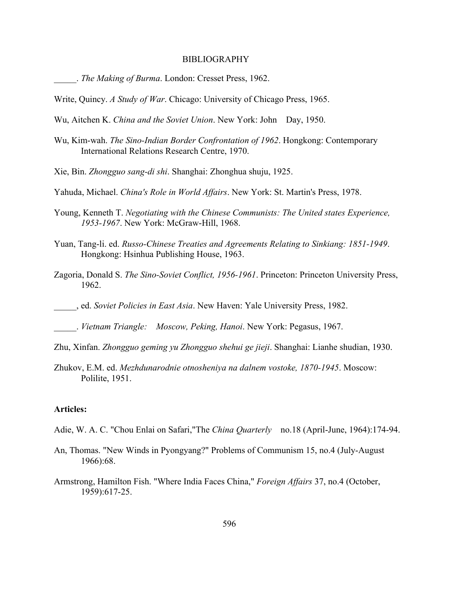\_\_\_\_\_. *The Making of Burma*. London: Cresset Press, 1962.

Write, Quincy. *A Study of War*. Chicago: University of Chicago Press, 1965.

Wu, Aitchen K. *China and the Soviet Union*. New York: John Day, 1950.

- Wu, Kim-wah. *The Sino-Indian Border Confrontation of 1962*. Hongkong: Contemporary International Relations Research Centre, 1970.
- Xie, Bin. *Zhongguo sang-di shi*. Shanghai: Zhonghua shuju, 1925.

Yahuda, Michael. *China's Role in World Affairs*. New York: St. Martin's Press, 1978.

- Young, Kenneth T. *Negotiating with the Chinese Communists: The United states Experience, 1953-1967*. New York: McGraw-Hill, 1968.
- Yuan, Tang-li. ed. *Russo-Chinese Treaties and Agreements Relating to Sinkiang: 1851-1949*. Hongkong: Hsinhua Publishing House, 1963.
- Zagoria, Donald S. *The Sino-Soviet Conflict, 1956-1961*. Princeton: Princeton University Press, 1962.
- \_\_\_\_\_, ed. *Soviet Policies in East Asia*. New Haven: Yale University Press, 1982.

\_\_\_\_\_. *Vietnam Triangle: Moscow, Peking, Hanoi*. New York: Pegasus, 1967.

- Zhu, Xinfan. *Zhongguo geming yu Zhongguo shehui ge jieji*. Shanghai: Lianhe shudian, 1930.
- Zhukov, E.M. ed. *Mezhdunarodnie otnosheniya na dalnem vostoke, 1870-1945*. Moscow: Polilite, 1951.

# **Articles:**

- Adie, W. A. C. "Chou Enlai on Safari,"The *China Quarterly* no.18 (April-June, 1964):174-94.
- An, Thomas. "New Winds in Pyongyang?" Problems of Communism 15, no.4 (July-August 1966):68.
- Armstrong, Hamilton Fish. "Where India Faces China," *Foreign Affairs* 37, no.4 (October, 1959):617-25.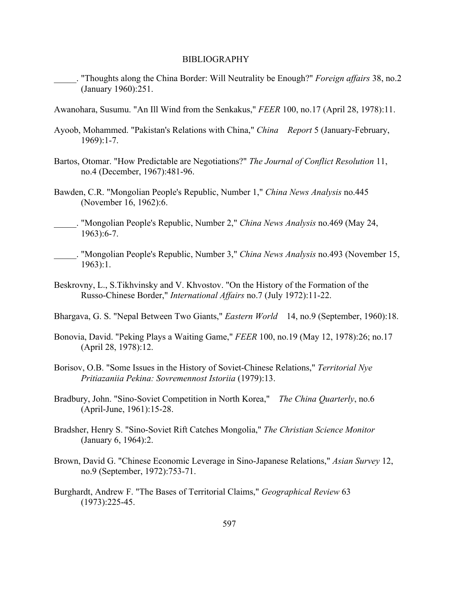- \_\_\_\_\_. "Thoughts along the China Border: Will Neutrality be Enough?" *Foreign affairs* 38, no.2 (January 1960):251.
- Awanohara, Susumu. "An Ill Wind from the Senkakus," *FEER* 100, no.17 (April 28, 1978):11.
- Ayoob, Mohammed. "Pakistan's Relations with China," *China Report* 5 (January-February, 1969):1-7.
- Bartos, Otomar. "How Predictable are Negotiations?" *The Journal of Conflict Resolution* 11, no.4 (December, 1967):481-96.
- Bawden, C.R. "Mongolian People's Republic, Number 1," *China News Analysis* no.445 (November 16, 1962):6.
- \_\_\_\_\_. "Mongolian People's Republic, Number 2," *China News Analysis* no.469 (May 24, 1963):6-7.
- \_\_\_\_\_. "Mongolian People's Republic, Number 3," *China News Analysis* no.493 (November 15, 1963):1.
- Beskrovny, L., S.Tikhvinsky and V. Khvostov. "On the History of the Formation of the Russo-Chinese Border," *International Affairs* no.7 (July 1972):11-22.
- Bhargava, G. S. "Nepal Between Two Giants," *Eastern World* 14, no.9 (September, 1960):18.
- Bonovia, David. "Peking Plays a Waiting Game," *FEER* 100, no.19 (May 12, 1978):26; no.17 (April 28, 1978):12.
- Borisov, O.B. "Some Issues in the History of Soviet-Chinese Relations," *Territorial Nye Pritiazaniia Pekina: Sovremennost Istoriia* (1979):13.
- Bradbury, John. "Sino-Soviet Competition in North Korea," *The China Quarterly*, no.6 (April-June, 1961):15-28.
- Bradsher, Henry S. "Sino-Soviet Rift Catches Mongolia," *The Christian Science Monitor* (January 6, 1964):2.
- Brown, David G. "Chinese Economic Leverage in Sino-Japanese Relations," *Asian Survey* 12, no.9 (September, 1972):753-71.
- Burghardt, Andrew F. "The Bases of Territorial Claims," *Geographical Review* 63 (1973):225-45.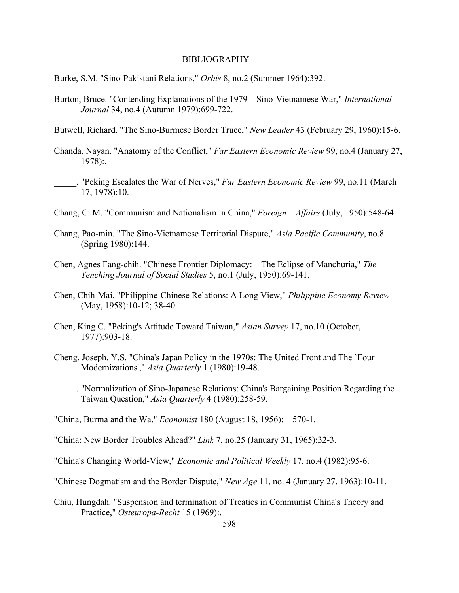- Burke, S.M. "Sino-Pakistani Relations," *Orbis* 8, no.2 (Summer 1964):392.
- Burton, Bruce. "Contending Explanations of the 1979 Sino-Vietnamese War," *International Journal* 34, no.4 (Autumn 1979):699-722.
- Butwell, Richard. "The Sino-Burmese Border Truce," *New Leader* 43 (February 29, 1960):15-6.
- Chanda, Nayan. "Anatomy of the Conflict," *Far Eastern Economic Review* 99, no.4 (January 27, 1978):.
- \_\_\_\_\_. "Peking Escalates the War of Nerves," *Far Eastern Economic Review* 99, no.11 (March 17, 1978):10.
- Chang, C. M. "Communism and Nationalism in China," *Foreign Affairs* (July, 1950):548-64.
- Chang, Pao-min. "The Sino-Vietnamese Territorial Dispute," *Asia Pacific Community*, no.8 (Spring 1980):144.
- Chen, Agnes Fang-chih. "Chinese Frontier Diplomacy: The Eclipse of Manchuria," *The Yenching Journal of Social Studies* 5, no.1 (July, 1950):69-141.
- Chen, Chih-Mai. "Philippine-Chinese Relations: A Long View," *Philippine Economy Review* (May, 1958):10-12; 38-40.
- Chen, King C. "Peking's Attitude Toward Taiwan," *Asian Survey* 17, no.10 (October, 1977):903-18.
- Cheng, Joseph. Y.S. "China's Japan Policy in the 1970s: The United Front and The `Four Modernizations'," *Asia Quarterly* 1 (1980):19-48.
- \_\_\_\_\_. "Normalization of Sino-Japanese Relations: China's Bargaining Position Regarding the Taiwan Question," *Asia Quarterly* 4 (1980):258-59.

"China, Burma and the Wa," *Economist* 180 (August 18, 1956): 570-1.

- "China: New Border Troubles Ahead?" *Link* 7, no.25 (January 31, 1965):32-3.
- "China's Changing World-View," *Economic and Political Weekly* 17, no.4 (1982):95-6.
- "Chinese Dogmatism and the Border Dispute," *New Age* 11, no. 4 (January 27, 1963):10-11.
- Chiu, Hungdah. "Suspension and termination of Treaties in Communist China's Theory and Practice," *Osteuropa-Recht* 15 (1969):.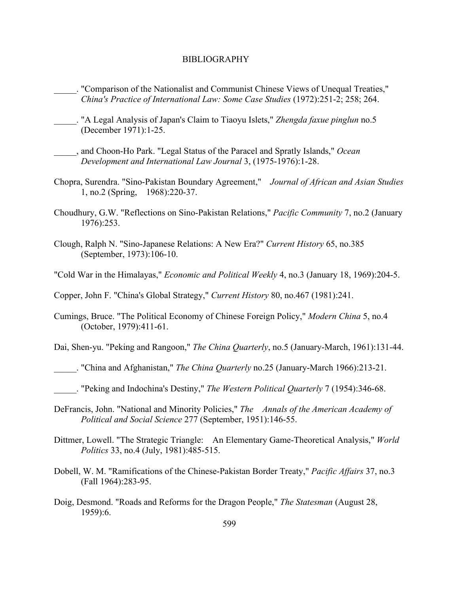- \_\_\_\_\_. "Comparison of the Nationalist and Communist Chinese Views of Unequal Treaties," *China's Practice of International Law: Some Case Studies* (1972):251-2; 258; 264.
- \_\_\_\_\_. "A Legal Analysis of Japan's Claim to Tiaoyu Islets," *Zhengda faxue pinglun* no.5 (December 1971):1-25.
- \_\_\_\_\_, and Choon-Ho Park. "Legal Status of the Paracel and Spratly Islands," *Ocean Development and International Law Journal* 3, (1975-1976):1-28.
- Chopra, Surendra. "Sino-Pakistan Boundary Agreement," *Journal of African and Asian Studies* 1, no.2 (Spring, 1968):220-37.
- Choudhury, G.W. "Reflections on Sino-Pakistan Relations," *Pacific Community* 7, no.2 (January 1976):253.
- Clough, Ralph N. "Sino-Japanese Relations: A New Era?" *Current History* 65, no.385 (September, 1973):106-10.
- "Cold War in the Himalayas," *Economic and Political Weekly* 4, no.3 (January 18, 1969):204-5.
- Copper, John F. "China's Global Strategy," *Current History* 80, no.467 (1981):241.
- Cumings, Bruce. "The Political Economy of Chinese Foreign Policy," *Modern China* 5, no.4 (October, 1979):411-61.
- Dai, Shen-yu. "Peking and Rangoon," *The China Quarterly*, no.5 (January-March, 1961):131-44.
- \_\_\_\_\_. "China and Afghanistan," *The China Quarterly* no.25 (January-March 1966):213-21.
- \_\_\_\_\_. "Peking and Indochina's Destiny," *The Western Political Quarterly* 7 (1954):346-68.
- DeFrancis, John. "National and Minority Policies," *The Annals of the American Academy of Political and Social Science* 277 (September, 1951):146-55.
- Dittmer, Lowell. "The Strategic Triangle: An Elementary Game-Theoretical Analysis," *World Politics* 33, no.4 (July, 1981):485-515.
- Dobell, W. M. "Ramifications of the Chinese-Pakistan Border Treaty," *Pacific Affairs* 37, no.3 (Fall 1964):283-95.
- Doig, Desmond. "Roads and Reforms for the Dragon People," *The Statesman* (August 28, 1959):6.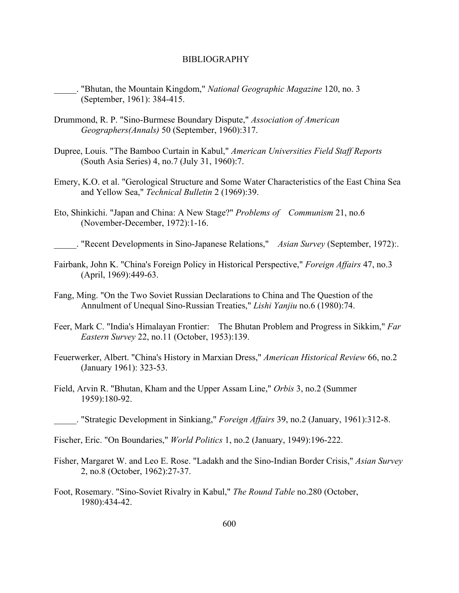- \_\_\_\_\_. "Bhutan, the Mountain Kingdom," *National Geographic Magazine* 120, no. 3 (September, 1961): 384-415.
- Drummond, R. P. "Sino-Burmese Boundary Dispute," *Association of American Geographers(Annals)* 50 (September, 1960):317.
- Dupree, Louis. "The Bamboo Curtain in Kabul," *American Universities Field Staff Reports* (South Asia Series) 4, no.7 (July 31, 1960):7.
- Emery, K.O. et al. "Gerological Structure and Some Water Characteristics of the East China Sea and Yellow Sea," *Technical Bulletin* 2 (1969):39.
- Eto, Shinkichi. "Japan and China: A New Stage?" *Problems of Communism* 21, no.6 (November-December, 1972):1-16.

\_\_\_\_\_. "Recent Developments in Sino-Japanese Relations," *Asian Survey* (September, 1972):.

- Fairbank, John K. "China's Foreign Policy in Historical Perspective," *Foreign Affairs* 47, no.3 (April, 1969):449-63.
- Fang, Ming. "On the Two Soviet Russian Declarations to China and The Question of the Annulment of Unequal Sino-Russian Treaties," *Lishi Yanjiu* no.6 (1980):74.
- Feer, Mark C. "India's Himalayan Frontier: The Bhutan Problem and Progress in Sikkim," *Far Eastern Survey* 22, no.11 (October, 1953):139.
- Feuerwerker, Albert. "China's History in Marxian Dress," *American Historical Review* 66, no.2 (January 1961): 323-53.
- Field, Arvin R. "Bhutan, Kham and the Upper Assam Line," *Orbis* 3, no.2 (Summer 1959):180-92.
- \_\_\_\_\_. "Strategic Development in Sinkiang," *Foreign Affairs* 39, no.2 (January, 1961):312-8.
- Fischer, Eric. "On Boundaries," *World Politics* 1, no.2 (January, 1949):196-222.
- Fisher, Margaret W. and Leo E. Rose. "Ladakh and the Sino-Indian Border Crisis," *Asian Survey* 2, no.8 (October, 1962):27-37.
- Foot, Rosemary. "Sino-Soviet Rivalry in Kabul," *The Round Table* no.280 (October, 1980):434-42.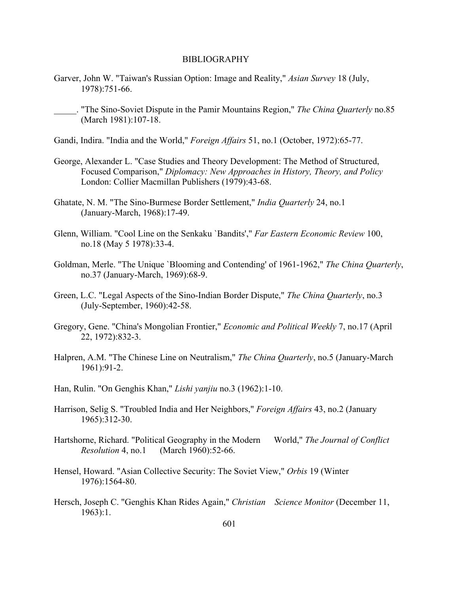- Garver, John W. "Taiwan's Russian Option: Image and Reality," *Asian Survey* 18 (July, 1978):751-66.
	- \_\_\_\_\_. "The Sino-Soviet Dispute in the Pamir Mountains Region," *The China Quarterly* no.85 (March 1981):107-18.
- Gandi, Indira. "India and the World," *Foreign Affairs* 51, no.1 (October, 1972):65-77.
- George, Alexander L. "Case Studies and Theory Development: The Method of Structured, Focused Comparison," *Diplomacy: New Approaches in History, Theory, and Policy* London: Collier Macmillan Publishers (1979):43-68.
- Ghatate, N. M. "The Sino-Burmese Border Settlement," *India Quarterly* 24, no.1 (January-March, 1968):17-49.
- Glenn, William. "Cool Line on the Senkaku `Bandits'," *Far Eastern Economic Review* 100, no.18 (May 5 1978):33-4.
- Goldman, Merle. "The Unique `Blooming and Contending' of 1961-1962," *The China Quarterly*, no.37 (January-March, 1969):68-9.
- Green, L.C. "Legal Aspects of the Sino-Indian Border Dispute," *The China Quarterly*, no.3 (July-September, 1960):42-58.
- Gregory, Gene. "China's Mongolian Frontier," *Economic and Political Weekly* 7, no.17 (April 22, 1972):832-3.
- Halpren, A.M. "The Chinese Line on Neutralism," *The China Quarterly*, no.5 (January-March 1961):91-2.
- Han, Rulin. "On Genghis Khan," *Lishi yanjiu* no.3 (1962):1-10.
- Harrison, Selig S. "Troubled India and Her Neighbors," *Foreign Affairs* 43, no.2 (January 1965):312-30.
- Hartshorne, Richard. "Political Geography in the Modern World," *The Journal of Conflict Resolution* 4, no.1 (March 1960):52-66.
- Hensel, Howard. "Asian Collective Security: The Soviet View," *Orbis* 19 (Winter 1976):1564-80.
- Hersch, Joseph C. "Genghis Khan Rides Again," *Christian Science Monitor* (December 11, 1963):1.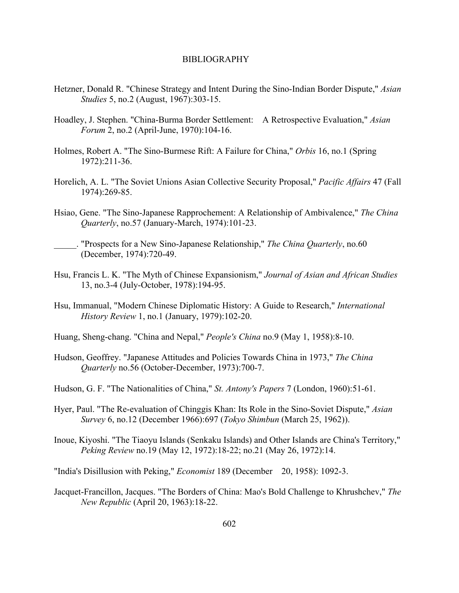- Hetzner, Donald R. "Chinese Strategy and Intent During the Sino-Indian Border Dispute," *Asian Studies* 5, no.2 (August, 1967):303-15.
- Hoadley, J. Stephen. "China-Burma Border Settlement: A Retrospective Evaluation," *Asian Forum* 2, no.2 (April-June, 1970):104-16.
- Holmes, Robert A. "The Sino-Burmese Rift: A Failure for China," *Orbis* 16, no.1 (Spring 1972):211-36.
- Horelich, A. L. "The Soviet Unions Asian Collective Security Proposal," *Pacific Affairs* 47 (Fall 1974):269-85.
- Hsiao, Gene. "The Sino-Japanese Rapprochement: A Relationship of Ambivalence," *The China Quarterly*, no.57 (January-March, 1974):101-23.
- \_\_\_\_\_. "Prospects for a New Sino-Japanese Relationship," *The China Quarterly*, no.60 (December, 1974):720-49.
- Hsu, Francis L. K. "The Myth of Chinese Expansionism," *Journal of Asian and African Studies* 13, no.3-4 (July-October, 1978):194-95.
- Hsu, Immanual, "Modern Chinese Diplomatic History: A Guide to Research," *International History Review* 1, no.1 (January, 1979):102-20.
- Huang, Sheng-chang. "China and Nepal," *People's China* no.9 (May 1, 1958):8-10.
- Hudson, Geoffrey. "Japanese Attitudes and Policies Towards China in 1973," *The China Quarterly* no.56 (October-December, 1973):700-7.
- Hudson, G. F. "The Nationalities of China," *St. Antony's Papers* 7 (London, 1960):51-61.
- Hyer, Paul. "The Re-evaluation of Chinggis Khan: Its Role in the Sino-Soviet Dispute," *Asian Survey* 6, no.12 (December 1966):697 (*Tokyo Shimbun* (March 25, 1962)).
- Inoue, Kiyoshi. "The Tiaoyu Islands (Senkaku Islands) and Other Islands are China's Territory," *Peking Review* no.19 (May 12, 1972):18-22; no.21 (May 26, 1972):14.

"India's Disillusion with Peking," *Economist* 189 (December 20, 1958): 1092-3.

Jacquet-Francillon, Jacques. "The Borders of China: Mao's Bold Challenge to Khrushchev," *The New Republic* (April 20, 1963):18-22.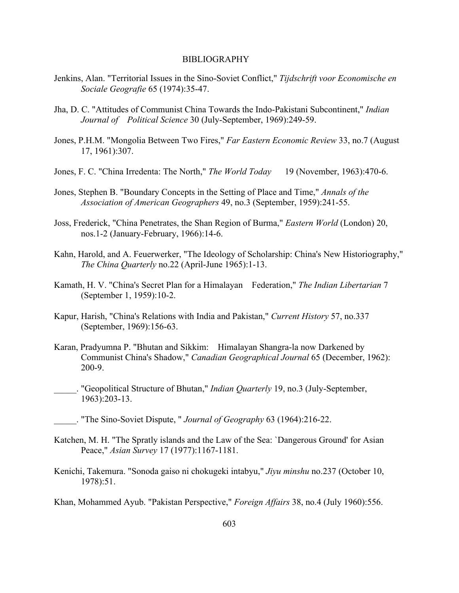- Jenkins, Alan. "Territorial Issues in the Sino-Soviet Conflict," *Tijdschrift voor Economische en Sociale Geografie* 65 (1974):35-47.
- Jha, D. C. "Attitudes of Communist China Towards the Indo-Pakistani Subcontinent," *Indian Journal of Political Science* 30 (July-September, 1969):249-59.
- Jones, P.H.M. "Mongolia Between Two Fires," *Far Eastern Economic Review* 33, no.7 (August 17, 1961):307.
- Jones, F. C. "China Irredenta: The North," *The World Today* 19 (November, 1963):470-6.
- Jones, Stephen B. "Boundary Concepts in the Setting of Place and Time," *Annals of the Association of American Geographers* 49, no.3 (September, 1959):241-55.
- Joss, Frederick, "China Penetrates, the Shan Region of Burma," *Eastern World* (London) 20, nos.1-2 (January-February, 1966):14-6.
- Kahn, Harold, and A. Feuerwerker, "The Ideology of Scholarship: China's New Historiography," *The China Quarterly* no.22 (April-June 1965):1-13.
- Kamath, H. V. "China's Secret Plan for a Himalayan Federation," *The Indian Libertarian* 7 (September 1, 1959):10-2.
- Kapur, Harish, "China's Relations with India and Pakistan," *Current History* 57, no.337 (September, 1969):156-63.
- Karan, Pradyumna P. "Bhutan and Sikkim: Himalayan Shangra-la now Darkened by Communist China's Shadow," *Canadian Geographical Journal* 65 (December, 1962): 200-9.
- \_\_\_\_\_. "Geopolitical Structure of Bhutan," *Indian Quarterly* 19, no.3 (July-September, 1963):203-13.
- \_\_\_\_\_. "The Sino-Soviet Dispute, " *Journal of Geography* 63 (1964):216-22.
- Katchen, M. H. "The Spratly islands and the Law of the Sea: `Dangerous Ground' for Asian Peace," *Asian Survey* 17 (1977):1167-1181.
- Kenichi, Takemura. "Sonoda gaiso ni chokugeki intabyu," *Jiyu minshu* no.237 (October 10, 1978):51.

Khan, Mohammed Ayub. "Pakistan Perspective," *Foreign Affairs* 38, no.4 (July 1960):556.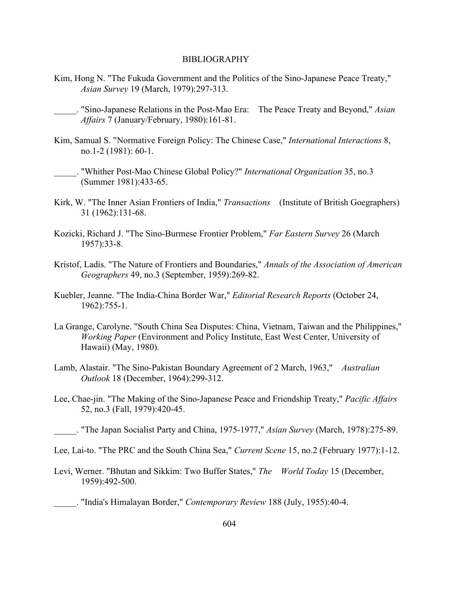Kim, Hong N. "The Fukuda Government and the Politics of the Sino-Japanese Peace Treaty," *Asian Survey* 19 (March, 1979):297-313.

\_\_\_\_\_. "Sino-Japanese Relations in the Post-Mao Era: The Peace Treaty and Beyond," *Asian Affairs* 7 (January/February, 1980):161-81.

- Kim, Samual S. "Normative Foreign Policy: The Chinese Case," *International Interactions* 8, no.1-2 (1981): 60-1.
	- \_\_\_\_\_. "Whither Post-Mao Chinese Global Policy?" *International Organization* 35, no.3 (Summer 1981):433-65.
- Kirk, W. "The Inner Asian Frontiers of India," *Transactions* (Institute of British Goegraphers) 31 (1962):131-68.
- Kozicki, Richard J. "The Sino-Burmese Frontier Problem," *Far Eastern Survey* 26 (March 1957):33-8.
- Kristof, Ladis. "The Nature of Frontiers and Boundaries," *Annals of the Association of American Geographers* 49, no.3 (September, 1959):269-82.
- Kuebler, Jeanne. "The India-China Border War," *Editorial Research Reports* (October 24, 1962):755-1.
- La Grange, Carolyne. "South China Sea Disputes: China, Vietnam, Taiwan and the Philippines," *Working Paper* (Environment and Policy Institute, East West Center, University of Hawaii) (May, 1980).
- Lamb, Alastair. "The Sino-Pakistan Boundary Agreement of 2 March, 1963," *Australian Outlook* 18 (December, 1964):299-312.
- Lee, Chae-jin. "The Making of the Sino-Japanese Peace and Friendship Treaty," *Pacific Affairs* 52, no.3 (Fall, 1979):420-45.

\_\_\_\_\_. "The Japan Socialist Party and China, 1975-1977," *Asian Survey* (March, 1978):275-89.

Levi, Werner. "Bhutan and Sikkim: Two Buffer States," *The World Today* 15 (December, 1959):492-500.

\_\_\_\_\_. "India's Himalayan Border," *Contemporary Review* 188 (July, 1955):40-4.

Lee, Lai-to. "The PRC and the South China Sea," *Current Scene* 15, no.2 (February 1977):1-12.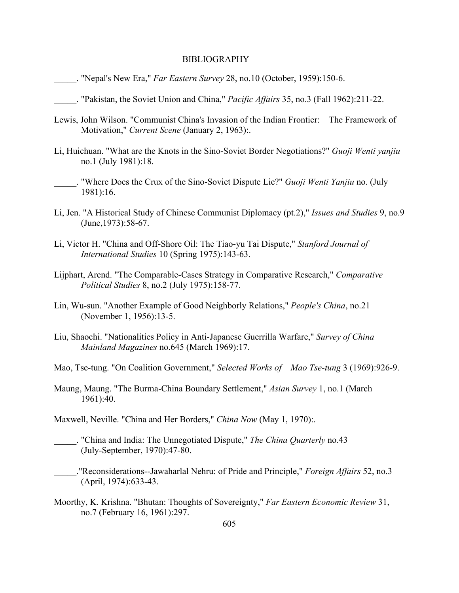- \_\_\_\_\_. "Nepal's New Era," *Far Eastern Survey* 28, no.10 (October, 1959):150-6.
- \_\_\_\_\_. "Pakistan, the Soviet Union and China," *Pacific Affairs* 35, no.3 (Fall 1962):211-22.
- Lewis, John Wilson. "Communist China's Invasion of the Indian Frontier: The Framework of Motivation," *Current Scene* (January 2, 1963):.
- Li, Huichuan. "What are the Knots in the Sino-Soviet Border Negotiations?" *Guoji Wenti yanjiu* no.1 (July 1981):18.
- \_\_\_\_\_. "Where Does the Crux of the Sino-Soviet Dispute Lie?" *Guoji Wenti Yanjiu* no. (July 1981):16.
- Li, Jen. "A Historical Study of Chinese Communist Diplomacy (pt.2)," *Issues and Studies* 9, no.9 (June,1973):58-67.
- Li, Victor H. "China and Off-Shore Oil: The Tiao-yu Tai Dispute," *Stanford Journal of International Studies* 10 (Spring 1975):143-63.
- Lijphart, Arend. "The Comparable-Cases Strategy in Comparative Research," *Comparative Political Studies* 8, no.2 (July 1975):158-77.
- Lin, Wu-sun. "Another Example of Good Neighborly Relations," *People's China*, no.21 (November 1, 1956):13-5.
- Liu, Shaochi. "Nationalities Policy in Anti-Japanese Guerrilla Warfare," *Survey of China Mainland Magazines* no.645 (March 1969):17.
- Mao, Tse-tung. "On Coalition Government," *Selected Works of Mao Tse-tung* 3 (1969):926-9.
- Maung, Maung. "The Burma-China Boundary Settlement," *Asian Survey* 1, no.1 (March 1961):40.
- Maxwell, Neville. "China and Her Borders," *China Now* (May 1, 1970):.
- \_\_\_\_\_. "China and India: The Unnegotiated Dispute," *The China Quarterly* no.43 (July-September, 1970):47-80.
- \_\_\_\_\_."Reconsiderations--Jawaharlal Nehru: of Pride and Principle," *Foreign Affairs* 52, no.3 (April, 1974):633-43.
- Moorthy, K. Krishna. "Bhutan: Thoughts of Sovereignty," *Far Eastern Economic Review* 31, no.7 (February 16, 1961):297.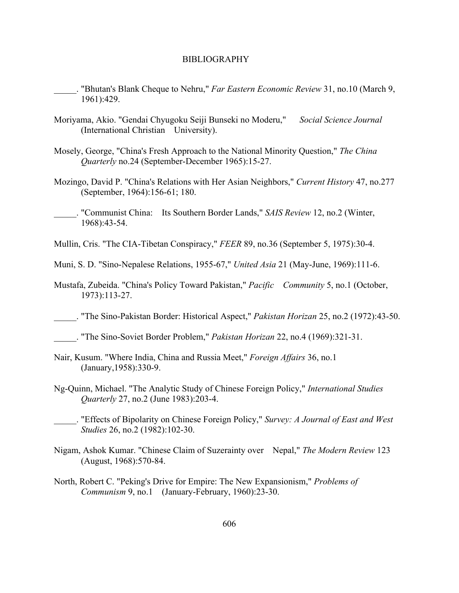- \_\_\_\_\_. "Bhutan's Blank Cheque to Nehru," *Far Eastern Economic Review* 31, no.10 (March 9, 1961):429.
- Moriyama, Akio. "Gendai Chyugoku Seiji Bunseki no Moderu," *Social Science Journal* (International Christian University).
- Mosely, George, "China's Fresh Approach to the National Minority Question," *The China Quarterly* no.24 (September-December 1965):15-27.
- Mozingo, David P. "China's Relations with Her Asian Neighbors," *Current History* 47, no.277 (September, 1964):156-61; 180.
- \_\_\_\_\_. "Communist China: Its Southern Border Lands," *SAIS Review* 12, no.2 (Winter, 1968):43-54.
- Mullin, Cris. "The CIA-Tibetan Conspiracy," *FEER* 89, no.36 (September 5, 1975):30-4.
- Muni, S. D. "Sino-Nepalese Relations, 1955-67," *United Asia* 21 (May-June, 1969):111-6.
- Mustafa, Zubeida. "China's Policy Toward Pakistan," *Pacific Community* 5, no.1 (October, 1973):113-27.
- \_\_\_\_\_. "The Sino-Pakistan Border: Historical Aspect," *Pakistan Horizan* 25, no.2 (1972):43-50.
- \_\_\_\_\_. "The Sino-Soviet Border Problem," *Pakistan Horizan* 22, no.4 (1969):321-31.
- Nair, Kusum. "Where India, China and Russia Meet," *Foreign Affairs* 36, no.1 (January,1958):330-9.
- Ng-Quinn, Michael. "The Analytic Study of Chinese Foreign Policy," *International Studies Quarterly* 27, no.2 (June 1983):203-4.
	- \_\_\_\_\_. "Effects of Bipolarity on Chinese Foreign Policy," *Survey: A Journal of East and West Studies* 26, no.2 (1982):102-30.
- Nigam, Ashok Kumar. "Chinese Claim of Suzerainty over Nepal," *The Modern Review* 123 (August, 1968):570-84.
- North, Robert C. "Peking's Drive for Empire: The New Expansionism," *Problems of Communism* 9, no.1 (January-February, 1960):23-30.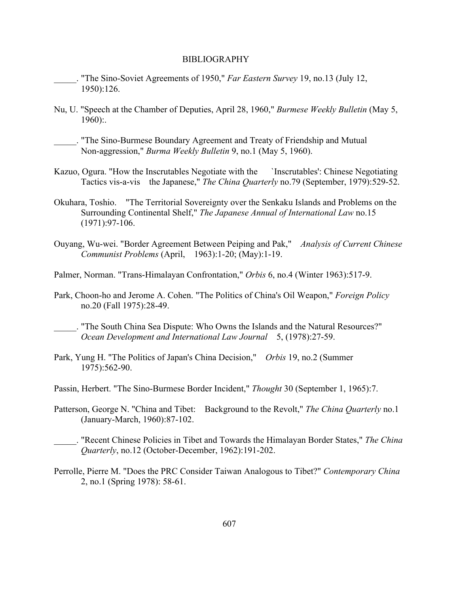\_\_\_\_\_. "The Sino-Soviet Agreements of 1950," *Far Eastern Survey* 19, no.13 (July 12, 1950):126.

Nu, U. "Speech at the Chamber of Deputies, April 28, 1960," *Burmese Weekly Bulletin* (May 5, 1960):.

\_\_\_\_\_. "The Sino-Burmese Boundary Agreement and Treaty of Friendship and Mutual Non-aggression," *Burma Weekly Bulletin* 9, no.1 (May 5, 1960).

- Kazuo, Ogura. "How the Inscrutables Negotiate with the `Inscrutables': Chinese Negotiating Tactics vis-a-vis the Japanese," *The China Quarterly* no.79 (September, 1979):529-52.
- Okuhara, Toshio. "The Territorial Sovereignty over the Senkaku Islands and Problems on the Surrounding Continental Shelf," *The Japanese Annual of International Law* no.15 (1971):97-106.
- Ouyang, Wu-wei. "Border Agreement Between Peiping and Pak," *Analysis of Current Chinese Communist Problems* (April, 1963):1-20; (May):1-19.

Palmer, Norman. "Trans-Himalayan Confrontation," *Orbis* 6, no.4 (Winter 1963):517-9.

Park, Choon-ho and Jerome A. Cohen. "The Politics of China's Oil Weapon," *Foreign Policy* no.20 (Fall 1975):28-49.

\_\_\_\_\_. "The South China Sea Dispute: Who Owns the Islands and the Natural Resources?" *Ocean Development and International Law Journal* 5, (1978):27-59.

- Park, Yung H. "The Politics of Japan's China Decision," *Orbis* 19, no.2 (Summer 1975):562-90.
- Passin, Herbert. "The Sino-Burmese Border Incident," *Thought* 30 (September 1, 1965):7.
- Patterson, George N. "China and Tibet: Background to the Revolt," *The China Quarterly* no.1 (January-March, 1960):87-102.
- \_\_\_\_\_. "Recent Chinese Policies in Tibet and Towards the Himalayan Border States," *The China Quarterly*, no.12 (October-December, 1962):191-202.
- Perrolle, Pierre M. "Does the PRC Consider Taiwan Analogous to Tibet?" *Contemporary China* 2, no.1 (Spring 1978): 58-61.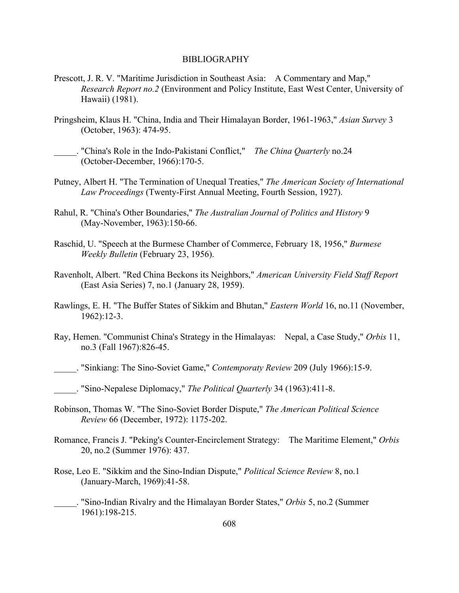- Prescott, J. R. V. "Maritime Jurisdiction in Southeast Asia: A Commentary and Map," *Research Report no.2* (Environment and Policy Institute, East West Center, University of Hawaii) (1981).
- Pringsheim, Klaus H. "China, India and Their Himalayan Border, 1961-1963," *Asian Survey* 3 (October, 1963): 474-95.
- \_\_\_\_\_. "China's Role in the Indo-Pakistani Conflict," *The China Quarterly* no.24 (October-December, 1966):170-5.
- Putney, Albert H. "The Termination of Unequal Treaties," *The American Society of International Law Proceedings* (Twenty-First Annual Meeting, Fourth Session, 1927).
- Rahul, R. "China's Other Boundaries," *The Australian Journal of Politics and History* 9 (May-November, 1963):150-66.
- Raschid, U. "Speech at the Burmese Chamber of Commerce, February 18, 1956," *Burmese Weekly Bulletin* (February 23, 1956).
- Ravenholt, Albert. "Red China Beckons its Neighbors," *American University Field Staff Report* (East Asia Series) 7, no.1 (January 28, 1959).
- Rawlings, E. H. "The Buffer States of Sikkim and Bhutan," *Eastern World* 16, no.11 (November, 1962):12-3.
- Ray, Hemen. "Communist China's Strategy in the Himalayas: Nepal, a Case Study," *Orbis* 11, no.3 (Fall 1967):826-45.
	- \_\_\_\_\_. "Sinkiang: The Sino-Soviet Game," *Contemporaty Review* 209 (July 1966):15-9.

- Robinson, Thomas W. "The Sino-Soviet Border Dispute," *The American Political Science Review* 66 (December, 1972): 1175-202.
- Romance, Francis J. "Peking's Counter-Encirclement Strategy: The Maritime Element," *Orbis* 20, no.2 (Summer 1976): 437.
- Rose, Leo E. "Sikkim and the Sino-Indian Dispute," *Political Science Review* 8, no.1 (January-March, 1969):41-58.
	- \_\_\_\_\_. "Sino-Indian Rivalry and the Himalayan Border States," *Orbis* 5, no.2 (Summer 1961):198-215.

\_\_\_\_\_. "Sino-Nepalese Diplomacy," *The Political Quarterly* 34 (1963):411-8.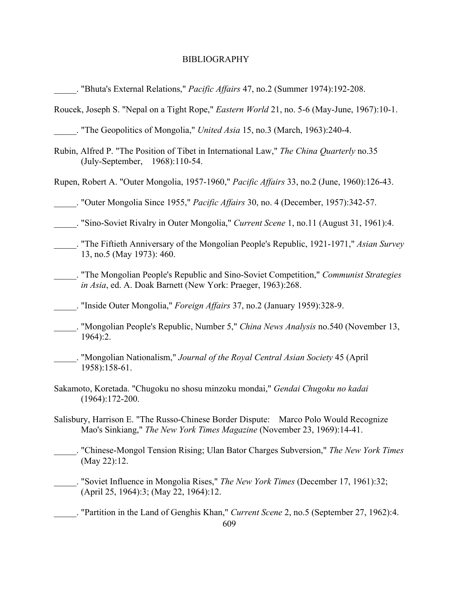| Bhuta's External Relations," Pacific Affairs 47, no.2 (Summer 1974):192-208.                                                                                    |
|-----------------------------------------------------------------------------------------------------------------------------------------------------------------|
| Roucek, Joseph S. "Nepal on a Tight Rope," Eastern World 21, no. 5-6 (May-June, 1967):10-1.                                                                     |
| . The Geopolitics of Mongolia," United Asia 15, no.3 (March, 1963):240-4.                                                                                       |
| Rubin, Alfred P. "The Position of Tibet in International Law," The China Quarterly no.35<br>(July-September, 1968):110-54.                                      |
| Rupen, Robert A. "Outer Mongolia, 1957-1960," Pacific Affairs 33, no.2 (June, 1960):126-43.                                                                     |
| . "Outer Mongolia Since 1955," <i>Pacific Affairs</i> 30, no. 4 (December, 1957):342-57.                                                                        |
| . "Sino-Soviet Rivalry in Outer Mongolia," Current Scene 1, no.11 (August 31, 1961):4.                                                                          |
| The Fiftieth Anniversary of the Mongolian People's Republic, 1921-1971," Asian Survey<br>13, no.5 (May 1973): 460.                                              |
| . "The Mongolian People's Republic and Sino-Soviet Competition," Communist Strategies<br>in Asia, ed. A. Doak Barnett (New York: Praeger, 1963):268.            |
| . "Inside Outer Mongolia," <i>Foreign Affairs</i> 37, no.2 (January 1959):328-9.                                                                                |
| . "Mongolian People's Republic, Number 5," China News Analysis no.540 (November 13,<br>1964):2.                                                                 |
| . "Mongolian Nationalism," Journal of the Royal Central Asian Society 45 (April<br>1958):158-61.                                                                |
| Sakamoto, Koretada. "Chugoku no shosu minzoku mondai," Gendai Chugoku no kadai<br>$(1964):172-200.$                                                             |
| Salisbury, Harrison E. "The Russo-Chinese Border Dispute: Marco Polo Would Recognize<br>Mao's Sinkiang," The New York Times Magazine (November 23, 1969):14-41. |
| . "Chinese-Mongol Tension Rising; Ulan Bator Charges Subversion," The New York Times<br>(May 22):12.                                                            |
| . "Soviet Influence in Mongolia Rises," The New York Times (December 17, 1961):32;<br>(April 25, 1964):3; (May 22, 1964):12.                                    |
| . "Partition in the Land of Genghis Khan," Current Scene 2, no.5 (September 27, 1962):4.<br>609                                                                 |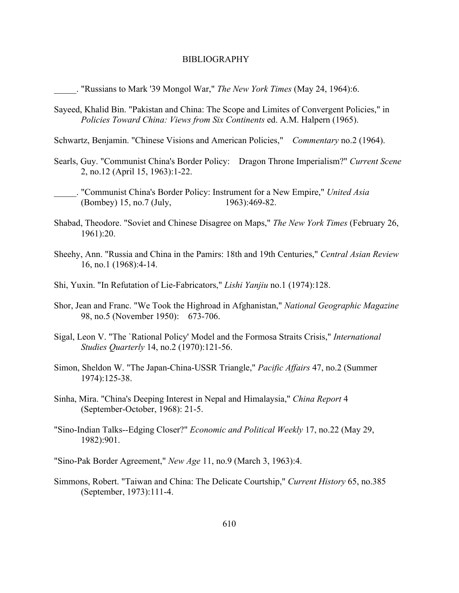\_\_\_\_\_. "Russians to Mark '39 Mongol War," *The New York Times* (May 24, 1964):6.

- Sayeed, Khalid Bin. "Pakistan and China: The Scope and Limites of Convergent Policies," in *Policies Toward China: Views from Six Continents* ed. A.M. Halpern (1965).
- Schwartz, Benjamin. "Chinese Visions and American Policies," *Commentary* no.2 (1964).
- Searls, Guy. "Communist China's Border Policy: Dragon Throne Imperialism?" *Current Scene* 2, no.12 (April 15, 1963):1-22.
	- \_\_\_\_\_. "Communist China's Border Policy: Instrument for a New Empire," *United Asia* (Bombey) 15, no.7 (July, 1963):469-82.
- Shabad, Theodore. "Soviet and Chinese Disagree on Maps," *The New York Times* (February 26, 1961):20.
- Sheehy, Ann. "Russia and China in the Pamirs: 18th and 19th Centuries," *Central Asian Review* 16, no.1 (1968):4-14.
- Shi, Yuxin. "In Refutation of Lie-Fabricators," *Lishi Yanjiu* no.1 (1974):128.
- Shor, Jean and Franc. "We Took the Highroad in Afghanistan," *National Geographic Magazine* 98, no.5 (November 1950): 673-706.
- Sigal, Leon V. "The `Rational Policy' Model and the Formosa Straits Crisis," *International Studies Quarterly* 14, no.2 (1970):121-56.
- Simon, Sheldon W. "The Japan-China-USSR Triangle," *Pacific Affairs* 47, no.2 (Summer 1974):125-38.
- Sinha, Mira. "China's Deeping Interest in Nepal and Himalaysia," *China Report* 4 (September-October, 1968): 21-5.
- "Sino-Indian Talks--Edging Closer?" *Economic and Political Weekly* 17, no.22 (May 29, 1982):901.
- "Sino-Pak Border Agreement," *New Age* 11, no.9 (March 3, 1963):4.
- Simmons, Robert. "Taiwan and China: The Delicate Courtship," *Current History* 65, no.385 (September, 1973):111-4.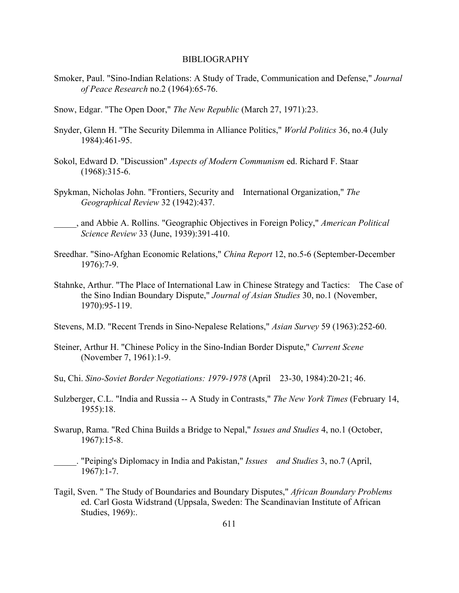- Smoker, Paul. "Sino-Indian Relations: A Study of Trade, Communication and Defense," *Journal of Peace Research* no.2 (1964):65-76.
- Snow, Edgar. "The Open Door," *The New Republic* (March 27, 1971):23.
- Snyder, Glenn H. "The Security Dilemma in Alliance Politics," *World Politics* 36, no.4 (July 1984):461-95.
- Sokol, Edward D. "Discussion" *Aspects of Modern Communism* ed. Richard F. Staar (1968):315-6.
- Spykman, Nicholas John. "Frontiers, Security and International Organization," *The Geographical Review* 32 (1942):437.
- \_\_\_\_\_, and Abbie A. Rollins. "Geographic Objectives in Foreign Policy," *American Political Science Review* 33 (June, 1939):391-410.
- Sreedhar. "Sino-Afghan Economic Relations," *China Report* 12, no.5-6 (September-December 1976):7-9.
- Stahnke, Arthur. "The Place of International Law in Chinese Strategy and Tactics: The Case of the Sino Indian Boundary Dispute," *Journal of Asian Studies* 30, no.1 (November, 1970):95-119.
- Stevens, M.D. "Recent Trends in Sino-Nepalese Relations," *Asian Survey* 59 (1963):252-60.
- Steiner, Arthur H. "Chinese Policy in the Sino-Indian Border Dispute," *Current Scene* (November 7, 1961):1-9.
- Su, Chi. *Sino-Soviet Border Negotiations: 1979-1978* (April 23-30, 1984):20-21; 46.
- Sulzberger, C.L. "India and Russia -- A Study in Contrasts," *The New York Times* (February 14, 1955):18.
- Swarup, Rama. "Red China Builds a Bridge to Nepal," *Issues and Studies* 4, no.1 (October, 1967):15-8.
	- \_\_\_\_\_. "Peiping's Diplomacy in India and Pakistan," *Issues and Studies* 3, no.7 (April, 1967):1-7.
- Tagil, Sven. " The Study of Boundaries and Boundary Disputes," *African Boundary Problems* ed. Carl Gosta Widstrand (Uppsala, Sweden: The Scandinavian Institute of African Studies, 1969):.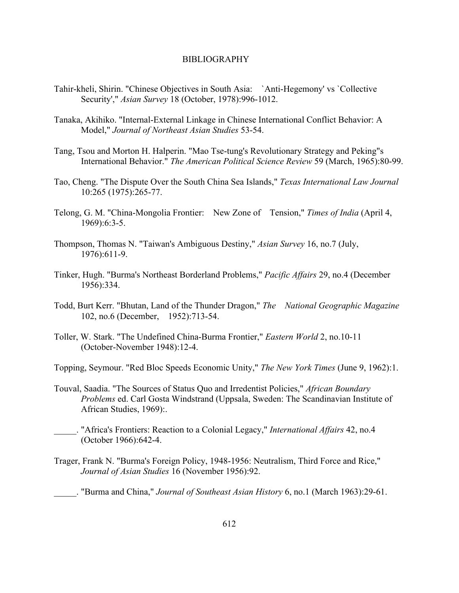- Tahir-kheli, Shirin. "Chinese Objectives in South Asia: `Anti-Hegemony' vs `Collective Security'," *Asian Survey* 18 (October, 1978):996-1012.
- Tanaka, Akihiko. "Internal-External Linkage in Chinese International Conflict Behavior: A Model," *Journal of Northeast Asian Studies* 53-54.
- Tang, Tsou and Morton H. Halperin. "Mao Tse-tung's Revolutionary Strategy and Peking"s International Behavior." *The American Political Science Review* 59 (March, 1965):80-99.
- Tao, Cheng. "The Dispute Over the South China Sea Islands," *Texas International Law Journal* 10:265 (1975):265-77.
- Telong, G. M. "China-Mongolia Frontier: New Zone of Tension," *Times of India* (April 4, 1969):6:3-5.
- Thompson, Thomas N. "Taiwan's Ambiguous Destiny," *Asian Survey* 16, no.7 (July, 1976):611-9.
- Tinker, Hugh. "Burma's Northeast Borderland Problems," *Pacific Affairs* 29, no.4 (December 1956):334.
- Todd, Burt Kerr. "Bhutan, Land of the Thunder Dragon," *The National Geographic Magazine* 102, no.6 (December, 1952):713-54.
- Toller, W. Stark. "The Undefined China-Burma Frontier," *Eastern World* 2, no.10-11 (October-November 1948):12-4.
- Topping, Seymour. "Red Bloc Speeds Economic Unity," *The New York Times* (June 9, 1962):1.
- Touval, Saadia. "The Sources of Status Quo and Irredentist Policies," *African Boundary Problems* ed. Carl Gosta Windstrand (Uppsala, Sweden: The Scandinavian Institute of African Studies, 1969):.
	- \_\_\_\_\_. "Africa's Frontiers: Reaction to a Colonial Legacy," *International Affairs* 42, no.4 (October 1966):642-4.
- Trager, Frank N. "Burma's Foreign Policy, 1948-1956: Neutralism, Third Force and Rice," *Journal of Asian Studies* 16 (November 1956):92.

\_\_\_\_\_. "Burma and China," *Journal of Southeast Asian History* 6, no.1 (March 1963):29-61.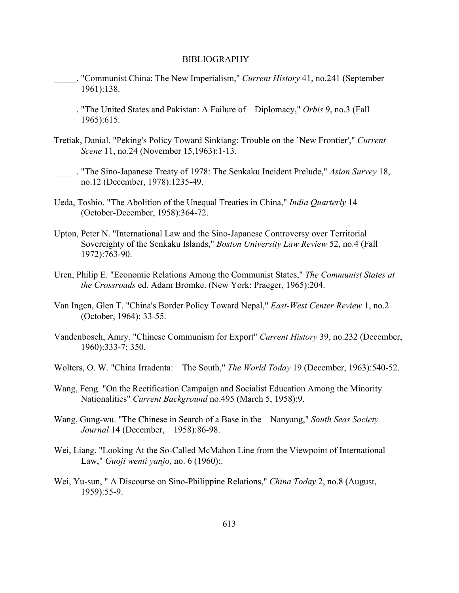- \_\_\_\_\_. "Communist China: The New Imperialism," *Current History* 41, no.241 (September 1961):138.
- \_\_\_\_\_. "The United States and Pakistan: A Failure of Diplomacy," *Orbis* 9, no.3 (Fall 1965):615.
- Tretiak, Danial. "Peking's Policy Toward Sinkiang: Trouble on the `New Frontier'," *Current Scene* 11, no.24 (November 15,1963):1-13.
	- \_\_\_\_\_. "The Sino-Japanese Treaty of 1978: The Senkaku Incident Prelude," *Asian Survey* 18, no.12 (December, 1978):1235-49.
- Ueda, Toshio. "The Abolition of the Unequal Treaties in China," *India Quarterly* 14 (October-December, 1958):364-72.
- Upton, Peter N. "International Law and the Sino-Japanese Controversy over Territorial Sovereighty of the Senkaku Islands," *Boston University Law Review* 52, no.4 (Fall 1972):763-90.
- Uren, Philip E. "Economic Relations Among the Communist States," *The Communist States at the Crossroads* ed. Adam Bromke. (New York: Praeger, 1965):204.
- Van Ingen, Glen T. "China's Border Policy Toward Nepal," *East-West Center Review* 1, no.2 (October, 1964): 33-55.
- Vandenbosch, Amry. "Chinese Communism for Export" *Current History* 39, no.232 (December, 1960):333-7; 350.
- Wolters, O. W. "China Irradenta: The South," *The World Today* 19 (December, 1963):540-52.
- Wang, Feng. "On the Rectification Campaign and Socialist Education Among the Minority Nationalities" *Current Background* no.495 (March 5, 1958):9.
- Wang, Gung-wu. "The Chinese in Search of a Base in the Nanyang," *South Seas Society Journal* 14 (December, 1958):86-98.
- Wei, Liang. "Looking At the So-Called McMahon Line from the Viewpoint of International Law," *Guoji wenti yanjo*, no. 6 (1960):.
- Wei, Yu-sun, " A Discourse on Sino-Philippine Relations," *China Today* 2, no.8 (August, 1959):55-9.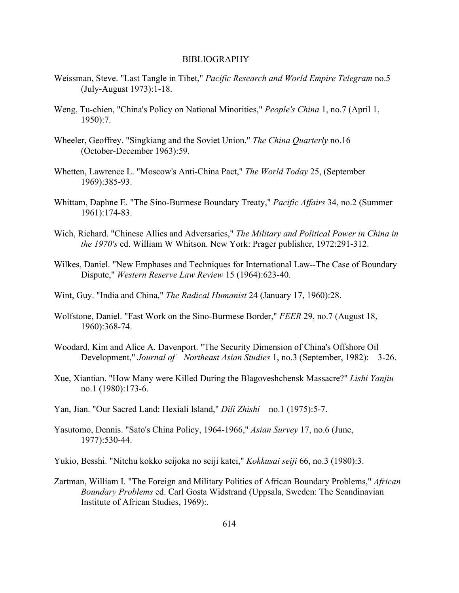- Weissman, Steve. "Last Tangle in Tibet," *Pacific Research and World Empire Telegram* no.5 (July-August 1973):1-18.
- Weng, Tu-chien, "China's Policy on National Minorities," *People's China* 1, no.7 (April 1, 1950):7.
- Wheeler, Geoffrey. "Singkiang and the Soviet Union," *The China Quarterly* no.16 (October-December 1963):59.
- Whetten, Lawrence L. "Moscow's Anti-China Pact," *The World Today* 25, (September 1969):385-93.
- Whittam, Daphne E. "The Sino-Burmese Boundary Treaty," *Pacific Affairs* 34, no.2 (Summer 1961):174-83.
- Wich, Richard. "Chinese Allies and Adversaries," *The Military and Political Power in China in the 1970's* ed. William W Whitson. New York: Prager publisher, 1972:291-312.
- Wilkes, Daniel. "New Emphases and Techniques for International Law--The Case of Boundary Dispute," *Western Reserve Law Review* 15 (1964):623-40.
- Wint, Guy. "India and China," *The Radical Humanist* 24 (January 17, 1960):28.
- Wolfstone, Daniel. "Fast Work on the Sino-Burmese Border," *FEER* 29, no.7 (August 18, 1960):368-74.
- Woodard, Kim and Alice A. Davenport. "The Security Dimension of China's Offshore Oil Development," *Journal of Northeast Asian Studies* 1, no.3 (September, 1982): 3-26.
- Xue, Xiantian. "How Many were Killed During the Blagoveshchensk Massacre?" *Lishi Yanjiu* no.1 (1980):173-6.
- Yan, Jian. "Our Sacred Land: Hexiali Island," *Dili Zhishi* no.1 (1975):5-7.
- Yasutomo, Dennis. "Sato's China Policy, 1964-1966," *Asian Survey* 17, no.6 (June, 1977):530-44.
- Yukio, Besshi. "Nitchu kokko seijoka no seiji katei," *Kokkusai seiji* 66, no.3 (1980):3.
- Zartman, William I. "The Foreign and Military Politics of African Boundary Problems," *African Boundary Problems* ed. Carl Gosta Widstrand (Uppsala, Sweden: The Scandinavian Institute of African Studies, 1969):.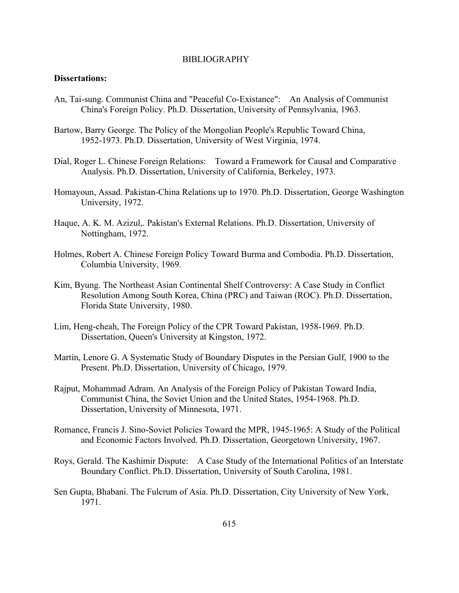# **Dissertations:**

- An, Tai-sung. Communist China and "Peaceful Co-Existance": An Analysis of Communist China's Foreign Policy. Ph.D. Dissertation, University of Pennsylvania, 1963.
- Bartow, Barry George. The Policy of the Mongolian People's Republic Toward China, 1952-1973. Ph.D. Dissertation, University of West Virginia, 1974.
- Dial, Roger L. Chinese Foreign Relations: Toward a Framework for Causal and Comparative Analysis. Ph.D. Dissertation, University of California, Berkeley, 1973.
- Homayoun, Assad. Pakistan-China Relations up to 1970. Ph.D. Dissertation, George Washington University, 1972.
- Haque, A. K. M. Azizul,. Pakistan's External Relations. Ph.D. Dissertation, University of Nottingham, 1972.
- Holmes, Robert A. Chinese Foreign Policy Toward Burma and Combodia. Ph.D. Dissertation, Columbia University, 1969.
- Kim, Byung. The Northeast Asian Continental Shelf Controversy: A Case Study in Conflict Resolution Among South Korea, China (PRC) and Taiwan (ROC). Ph.D. Dissertation, Florida State University, 1980.
- Lim, Heng-cheah, The Foreign Policy of the CPR Toward Pakistan, 1958-1969. Ph.D. Dissertation, Queen's University at Kingston, 1972.
- Martin, Lenore G. A Systematic Study of Boundary Disputes in the Persian Gulf, 1900 to the Present. Ph.D. Dissertation, University of Chicago, 1979.
- Rajput, Mohammad Adram. An Analysis of the Foreign Policy of Pakistan Toward India, Communist China, the Soviet Union and the United States, 1954-1968. Ph.D. Dissertation, University of Minnesota, 1971.
- Romance, Francis J. Sino-Soviet Policies Toward the MPR, 1945-1965: A Study of the Political and Economic Factors Involved. Ph.D. Dissertation, Georgetown University, 1967.
- Roys, Gerald. The Kashimir Dispute: A Case Study of the International Politics of an Interstate Boundary Conflict. Ph.D. Dissertation, University of South Carolina, 1981.
- Sen Gupta, Bhabani. The Fulcrum of Asia. Ph.D. Dissertation, City University of New York, 1971.